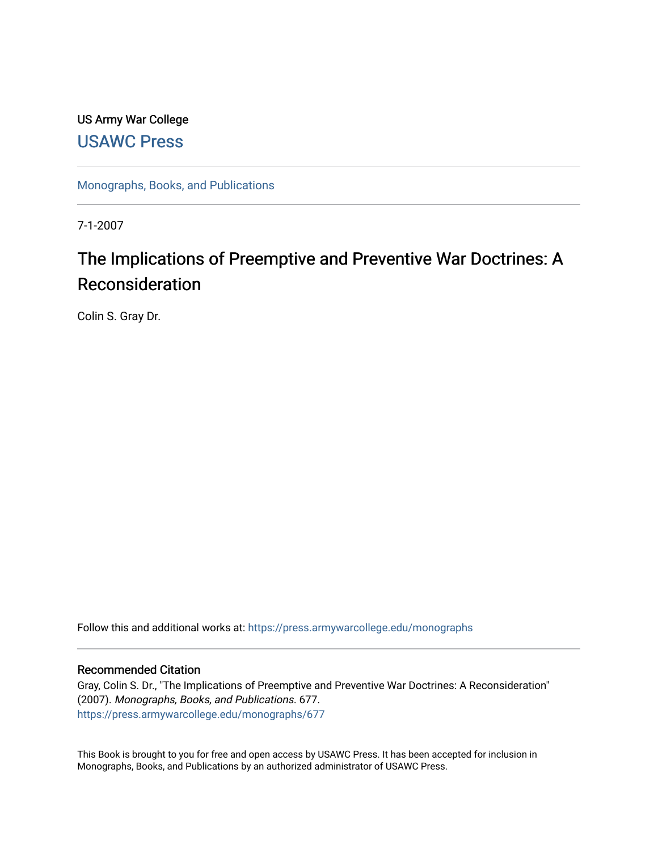# US Army War College [USAWC Press](https://press.armywarcollege.edu/)

[Monographs, Books, and Publications](https://press.armywarcollege.edu/monographs) 

7-1-2007

# The Implications of Preemptive and Preventive War Doctrines: A Reconsideration

Colin S. Gray Dr.

Follow this and additional works at: [https://press.armywarcollege.edu/monographs](https://press.armywarcollege.edu/monographs?utm_source=press.armywarcollege.edu%2Fmonographs%2F677&utm_medium=PDF&utm_campaign=PDFCoverPages)

#### Recommended Citation

Gray, Colin S. Dr., "The Implications of Preemptive and Preventive War Doctrines: A Reconsideration" (2007). Monographs, Books, and Publications. 677. [https://press.armywarcollege.edu/monographs/677](https://press.armywarcollege.edu/monographs/677?utm_source=press.armywarcollege.edu%2Fmonographs%2F677&utm_medium=PDF&utm_campaign=PDFCoverPages)

This Book is brought to you for free and open access by USAWC Press. It has been accepted for inclusion in Monographs, Books, and Publications by an authorized administrator of USAWC Press.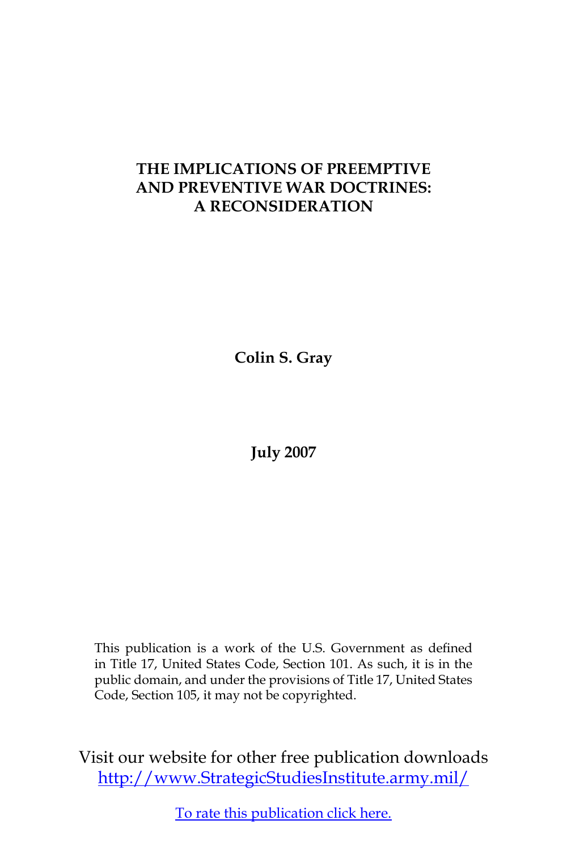# **THE IMPLICATIONS OF PREEMPTIVE AND PREVENTIVE WAR DOCTRINES: A RECONSIDERATION**

**Colin S. Gray**

**July 2007**

This publication is a work of the U.S. Government as defined in Title 17, United States Code, Section 101. As such, it is in the public domain, and under the provisions of Title 17, United States Code, Section 105, it may not be copyrighted.

Visit our website for other free publication downloads [http://www.StrategicStudiesInstitute.army.mil/](http://www.StrategicStudiesInstitute.army.mil)

[To rate this publication click here.](http://www.strategicstudiesinstitute.army.mil/pubs/display.cfm?pubID=789)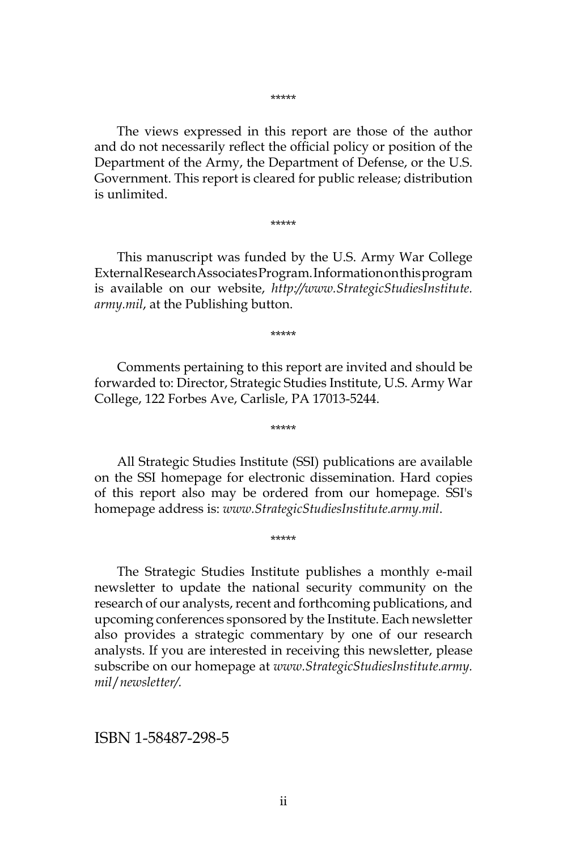\*\*\*\*\*

The views expressed in this report are those of the author and do not necessarily reflect the official policy or position of the Department of the Army, the Department of Defense, or the U.S. Government. This report is cleared for public release; distribution is unlimited.

\*\*\*\*\*

This manuscript was funded by the U.S. Army War College External Research Associates Program. Information on this program is available on our website, *http://www.StrategicStudiesInstitute. army.mil*, at the Publishing button.

\*\*\*\*\*

Comments pertaining to this report are invited and should be forwarded to: Director, Strategic Studies Institute, U.S. Army War College, 122 Forbes Ave, Carlisle, PA 17013-5244.

\*\*\*\*\*

All Strategic Studies Institute (SSI) publications are available on the SSI homepage for electronic dissemination. Hard copies of this report also may be ordered from our homepage. SSI's homepage address is: *www.StrategicStudiesInstitute.army.mil*.

\*\*\*\*\*

The Strategic Studies Institute publishes a monthly e-mail newsletter to update the national security community on the research of our analysts, recent and forthcoming publications, and upcoming conferences sponsored by the Institute. Each newsletter also provides a strategic commentary by one of our research analysts. If you are interested in receiving this newsletter, please subscribe on our homepage at *www.StrategicStudiesInstitute.army. mil*/*newsletter/.*

ISBN 1-58487-298-5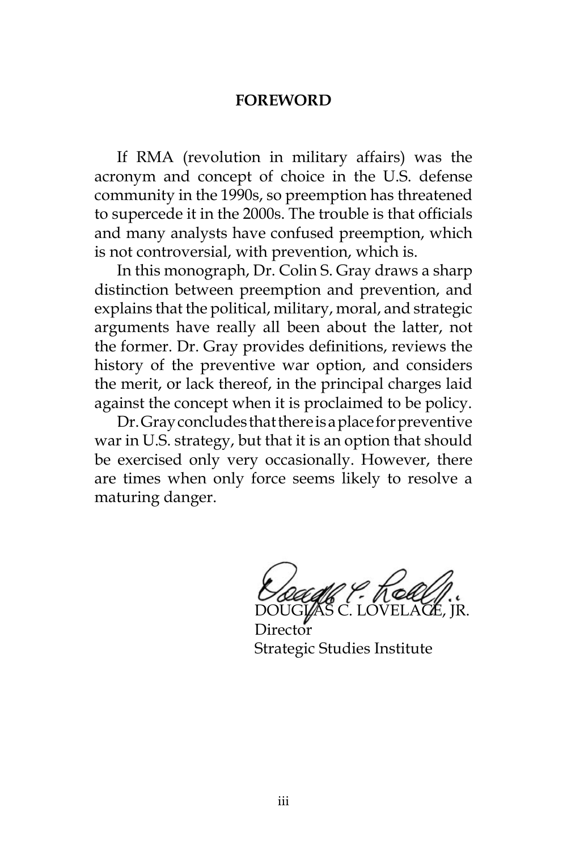#### **FOREWORD**

If RMA (revolution in military affairs) was the acronym and concept of choice in the U.S. defense community in the 1990s, so preemption has threatened to supercede it in the 2000s. The trouble is that officials and many analysts have confused preemption, which is not controversial, with prevention, which is.

In this monograph, Dr. Colin S. Gray draws a sharp distinction between preemption and prevention, and explains that the political, military, moral, and strategic arguments have really all been about the latter, not the former. Dr. Gray provides definitions, reviews the history of the preventive war option, and considers the merit, or lack thereof, in the principal charges laid against the concept when it is proclaimed to be policy.

Dr. Gray concludes that there is a place for preventive war in U.S. strategy, but that it is an option that should be exercised only very occasionally. However, there are times when only force seems likely to resolve a maturing danger.

DOUGLAS C. LOVELACE, JR.

Director Strategic Studies Institute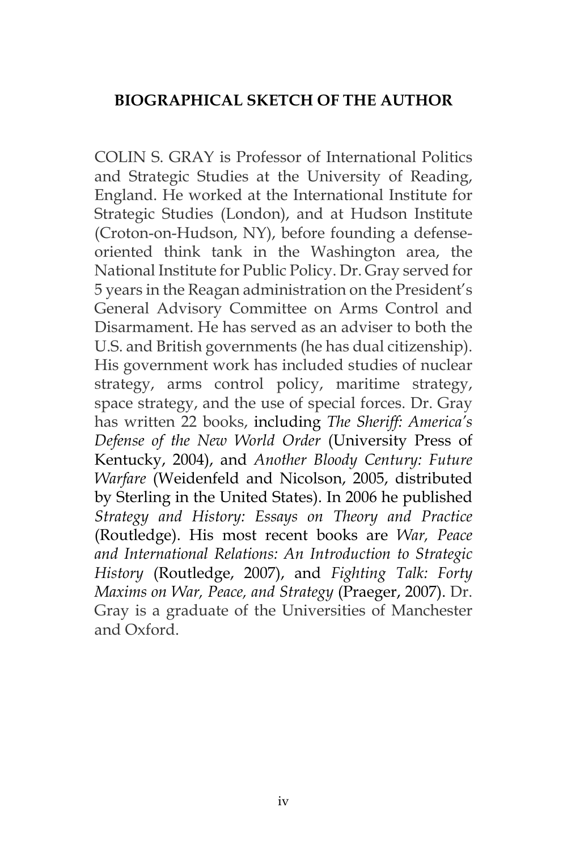# **BIOGRAPHICAL SKETCH OF THE AUTHOR**

COLIN S. GRAY is Professor of International Politics and Strategic Studies at the University of Reading, England. He worked at the International Institute for Strategic Studies (London), and at Hudson Institute (Croton-on-Hudson, NY), before founding a defenseoriented think tank in the Washington area, the National Institute for Public Policy. Dr. Gray served for 5 years in the Reagan administration on the President's General Advisory Committee on Arms Control and Disarmament. He has served as an adviser to both the U.S. and British governments (he has dual citizenship). His government work has included studies of nuclear strategy, arms control policy, maritime strategy, space strategy, and the use of special forces. Dr. Gray has written 22 books, including *The Sheriff: America's Defense of the New World Order* (University Press of Kentucky, 2004), and *Another Bloody Century: Future Warfare* (Weidenfeld and Nicolson, 2005, distributed by Sterling in the United States). In 2006 he published *Strategy and History: Essays on Theory and Practice*  (Routledge). His most recent books are *War, Peace and International Relations: An Introduction to Strategic History* (Routledge, 2007), and *Fighting Talk: Forty Maxims on War, Peace, and Strategy* (Praeger, 2007). Dr. Gray is a graduate of the Universities of Manchester and Oxford.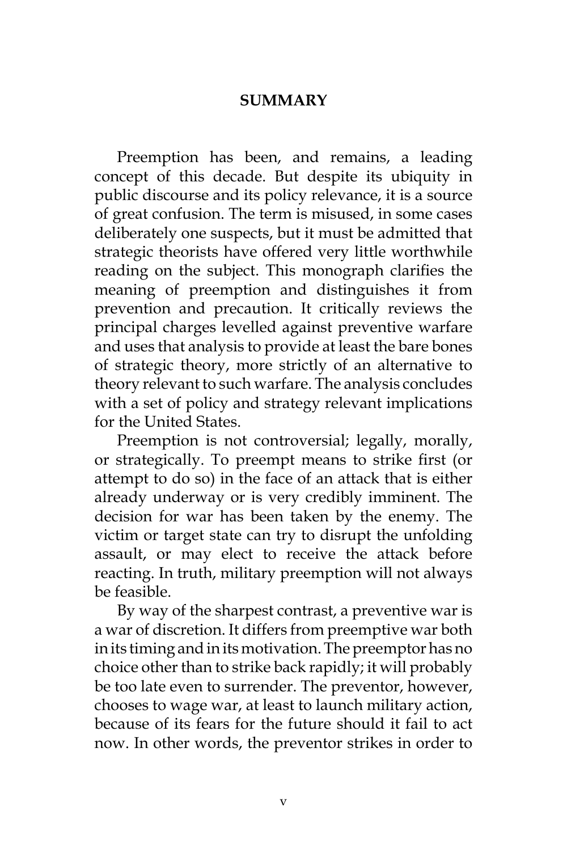#### **SUMMARY**

Preemption has been, and remains, a leading concept of this decade. But despite its ubiquity in public discourse and its policy relevance, it is a source of great confusion. The term is misused, in some cases deliberately one suspects, but it must be admitted that strategic theorists have offered very little worthwhile reading on the subject. This monograph clarifies the meaning of preemption and distinguishes it from prevention and precaution. It critically reviews the principal charges levelled against preventive warfare and uses that analysis to provide at least the bare bones of strategic theory, more strictly of an alternative to theory relevant to such warfare. The analysis concludes with a set of policy and strategy relevant implications for the United States.

Preemption is not controversial; legally, morally, or strategically. To preempt means to strike first (or attempt to do so) in the face of an attack that is either already underway or is very credibly imminent. The decision for war has been taken by the enemy. The victim or target state can try to disrupt the unfolding assault, or may elect to receive the attack before reacting. In truth, military preemption will not always be feasible.

By way of the sharpest contrast, a preventive war is a war of discretion. It differs from preemptive war both in its timing and in its motivation. The preemptor has no choice other than to strike back rapidly; it will probably be too late even to surrender. The preventor, however, chooses to wage war, at least to launch military action, because of its fears for the future should it fail to act now. In other words, the preventor strikes in order to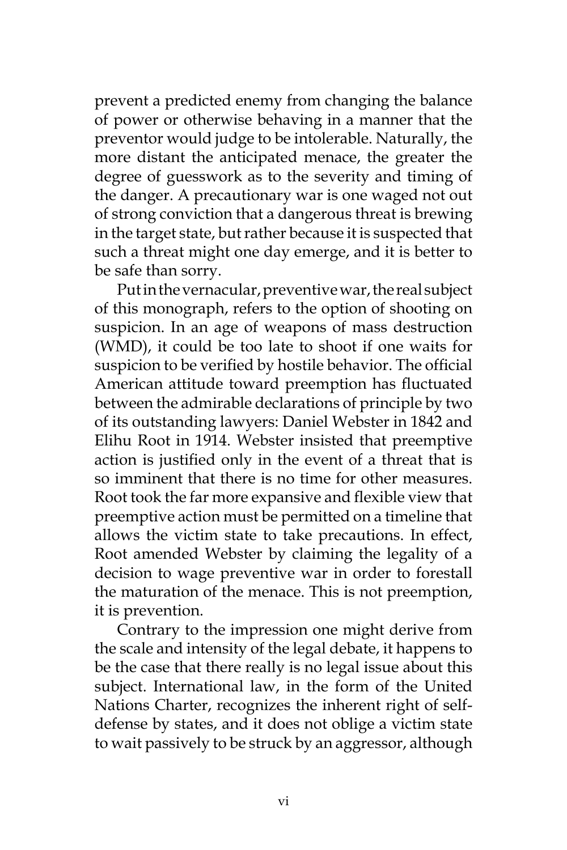prevent a predicted enemy from changing the balance of power or otherwise behaving in a manner that the preventor would judge to be intolerable. Naturally, the more distant the anticipated menace, the greater the degree of guesswork as to the severity and timing of the danger. A precautionary war is one waged not out of strong conviction that a dangerous threat is brewing in the target state, but rather because it is suspected that such a threat might one day emerge, and it is better to be safe than sorry.

Put in the vernacular, preventive war, the real subject of this monograph, refers to the option of shooting on suspicion. In an age of weapons of mass destruction (WMD), it could be too late to shoot if one waits for suspicion to be verified by hostile behavior. The official American attitude toward preemption has fluctuated between the admirable declarations of principle by two of its outstanding lawyers: Daniel Webster in 1842 and Elihu Root in 1914. Webster insisted that preemptive action is justified only in the event of a threat that is so imminent that there is no time for other measures. Root took the far more expansive and flexible view that preemptive action must be permitted on a timeline that allows the victim state to take precautions. In effect, Root amended Webster by claiming the legality of a decision to wage preventive war in order to forestall the maturation of the menace. This is not preemption, it is prevention.

Contrary to the impression one might derive from the scale and intensity of the legal debate, it happens to be the case that there really is no legal issue about this subject. International law, in the form of the United Nations Charter, recognizes the inherent right of selfdefense by states, and it does not oblige a victim state to wait passively to be struck by an aggressor, although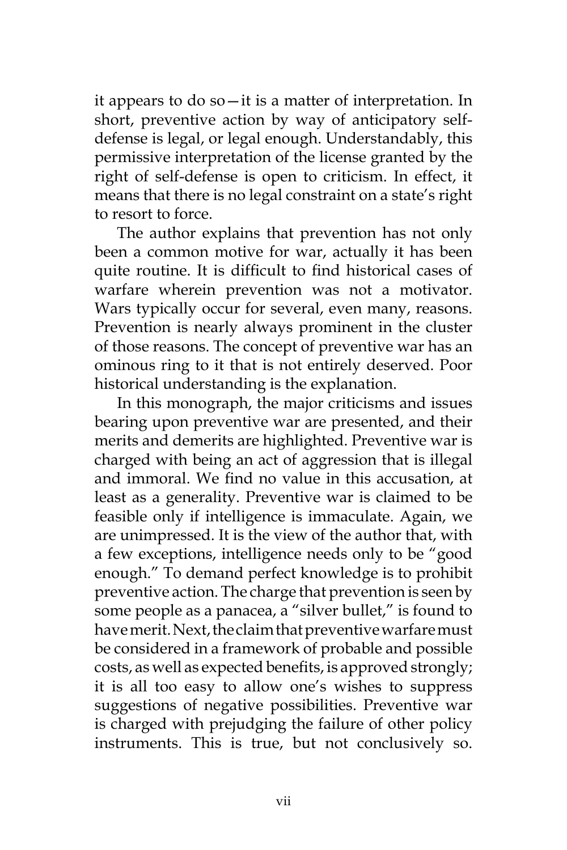it appears to do so—it is a matter of interpretation. In short, preventive action by way of anticipatory selfdefense is legal, or legal enough. Understandably, this permissive interpretation of the license granted by the right of self-defense is open to criticism. In effect, it means that there is no legal constraint on a state's right to resort to force.

The author explains that prevention has not only been a common motive for war, actually it has been quite routine. It is difficult to find historical cases of warfare wherein prevention was not a motivator. Wars typically occur for several, even many, reasons. Prevention is nearly always prominent in the cluster of those reasons. The concept of preventive war has an ominous ring to it that is not entirely deserved. Poor historical understanding is the explanation.

In this monograph, the major criticisms and issues bearing upon preventive war are presented, and their merits and demerits are highlighted. Preventive war is charged with being an act of aggression that is illegal and immoral. We find no value in this accusation, at least as a generality. Preventive war is claimed to be feasible only if intelligence is immaculate. Again, we are unimpressed. It is the view of the author that, with a few exceptions, intelligence needs only to be "good enough." To demand perfect knowledge is to prohibit preventive action. The charge that prevention is seen by some people as a panacea, a "silver bullet," is found to have merit. Next, the claim that preventive warfare must be considered in a framework of probable and possible costs, as well as expected benefits, is approved strongly; it is all too easy to allow one's wishes to suppress suggestions of negative possibilities. Preventive war is charged with prejudging the failure of other policy instruments. This is true, but not conclusively so.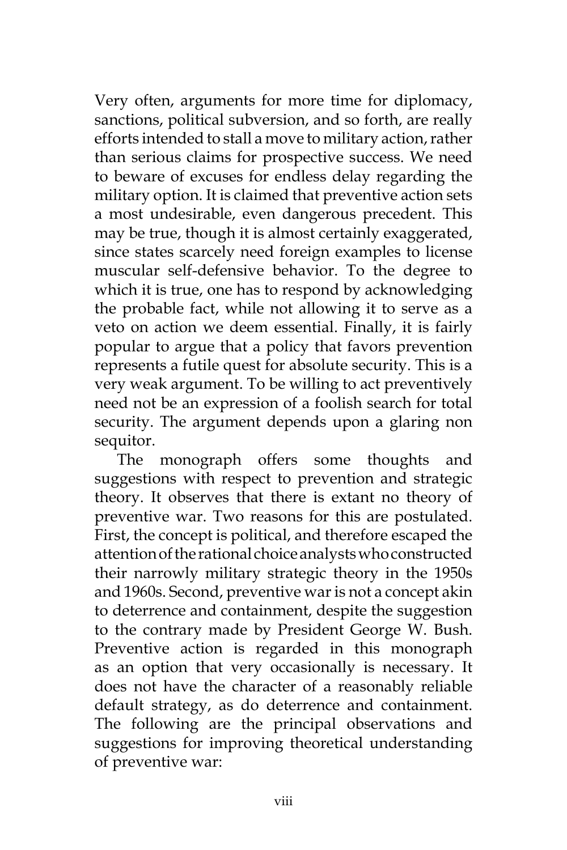Very often, arguments for more time for diplomacy, sanctions, political subversion, and so forth, are really efforts intended to stall a move to military action, rather than serious claims for prospective success. We need to beware of excuses for endless delay regarding the military option. It is claimed that preventive action sets a most undesirable, even dangerous precedent. This may be true, though it is almost certainly exaggerated, since states scarcely need foreign examples to license muscular self-defensive behavior. To the degree to which it is true, one has to respond by acknowledging the probable fact, while not allowing it to serve as a veto on action we deem essential. Finally, it is fairly popular to argue that a policy that favors prevention represents a futile quest for absolute security. This is a very weak argument. To be willing to act preventively need not be an expression of a foolish search for total security. The argument depends upon a glaring non sequitor.

The monograph offers some thoughts and suggestions with respect to prevention and strategic theory. It observes that there is extant no theory of preventive war. Two reasons for this are postulated. First, the concept is political, and therefore escaped the attention of the rational choice analysts who constructed their narrowly military strategic theory in the 1950s and 1960s. Second, preventive war is not a concept akin to deterrence and containment, despite the suggestion to the contrary made by President George W. Bush. Preventive action is regarded in this monograph as an option that very occasionally is necessary. It does not have the character of a reasonably reliable default strategy, as do deterrence and containment. The following are the principal observations and suggestions for improving theoretical understanding of preventive war: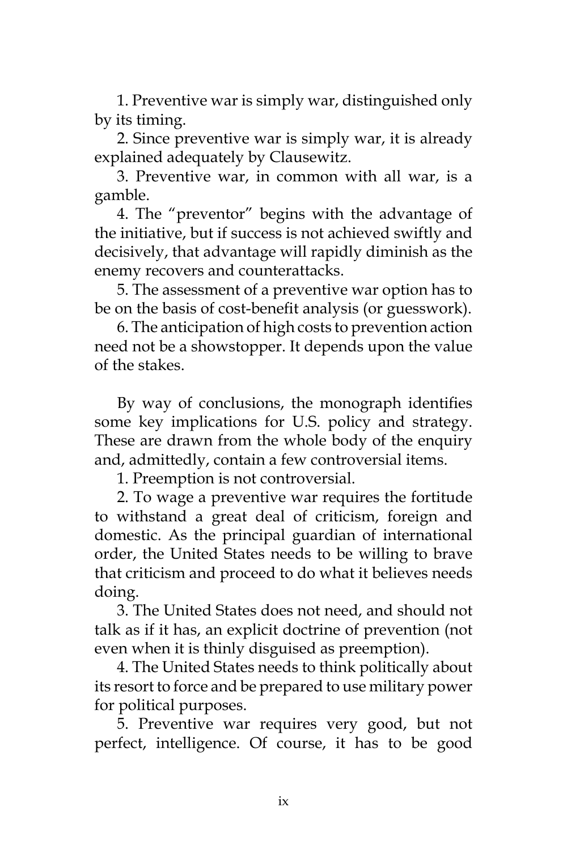1. Preventive war is simply war, distinguished only by its timing.

2. Since preventive war is simply war, it is already explained adequately by Clausewitz.

3. Preventive war, in common with all war, is a gamble.

4. The "preventor" begins with the advantage of the initiative, but if success is not achieved swiftly and decisively, that advantage will rapidly diminish as the enemy recovers and counterattacks.

5. The assessment of a preventive war option has to be on the basis of cost-benefit analysis (or guesswork).

6. The anticipation of high costs to prevention action need not be a showstopper. It depends upon the value of the stakes.

By way of conclusions, the monograph identifies some key implications for U.S. policy and strategy. These are drawn from the whole body of the enquiry and, admittedly, contain a few controversial items.

1. Preemption is not controversial.

2. To wage a preventive war requires the fortitude to withstand a great deal of criticism, foreign and domestic. As the principal guardian of international order, the United States needs to be willing to brave that criticism and proceed to do what it believes needs doing.

3. The United States does not need, and should not talk as if it has, an explicit doctrine of prevention (not even when it is thinly disguised as preemption).

4. The United States needs to think politically about its resort to force and be prepared to use military power for political purposes.

5. Preventive war requires very good, but not perfect, intelligence. Of course, it has to be good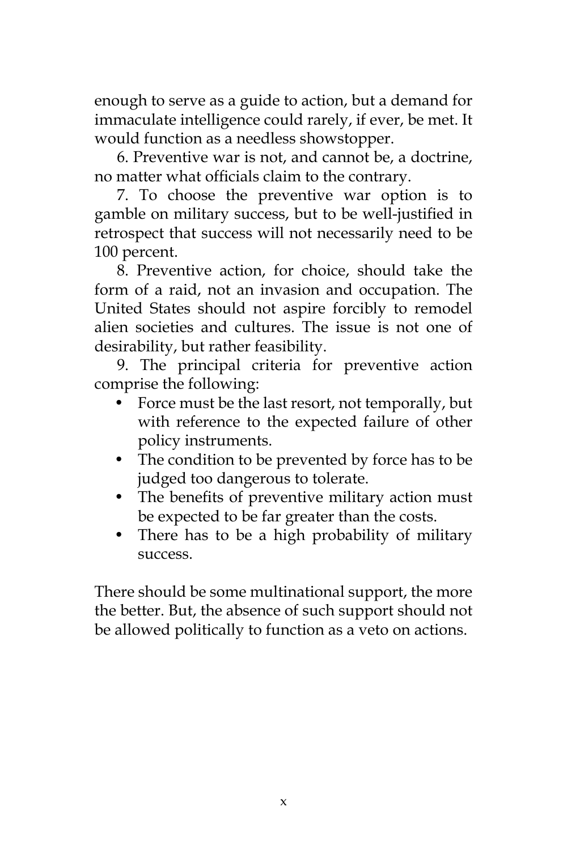enough to serve as a guide to action, but a demand for immaculate intelligence could rarely, if ever, be met. It would function as a needless showstopper.

6. Preventive war is not, and cannot be, a doctrine, no matter what officials claim to the contrary.

7. To choose the preventive war option is to gamble on military success, but to be well-justified in retrospect that success will not necessarily need to be 100 percent.

8. Preventive action, for choice, should take the form of a raid, not an invasion and occupation. The United States should not aspire forcibly to remodel alien societies and cultures. The issue is not one of desirability, but rather feasibility.

9. The principal criteria for preventive action comprise the following:

- Force must be the last resort, not temporally, but with reference to the expected failure of other policy instruments.
- The condition to be prevented by force has to be judged too dangerous to tolerate.
- The benefits of preventive military action must be expected to be far greater than the costs.
- There has to be a high probability of military success.

There should be some multinational support, the more the better. But, the absence of such support should not be allowed politically to function as a veto on actions.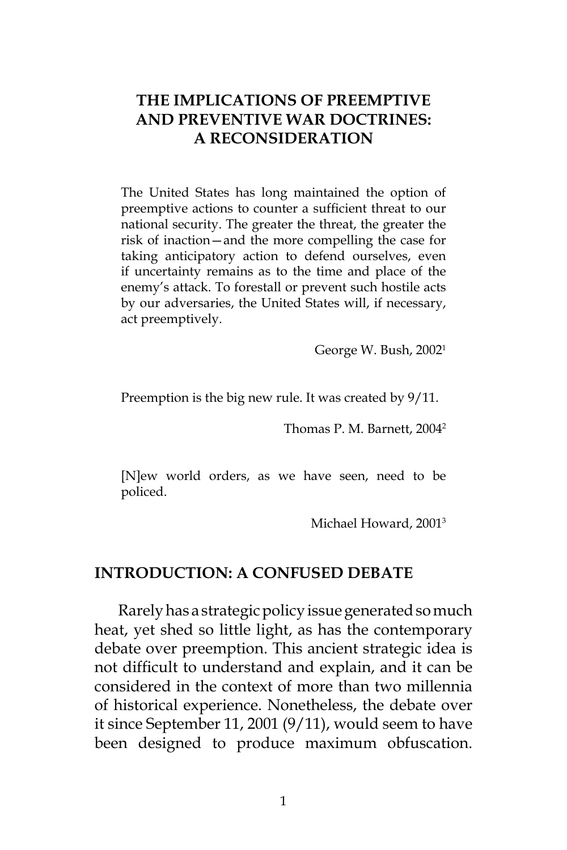# **THE IMPLICATIONS OF PREEMPTIVE AND PREVENTIVE WAR DOCTRINES: A RECONSIDERATION**

The United States has long maintained the option of preemptive actions to counter a sufficient threat to our national security. The greater the threat, the greater the risk of inaction—and the more compelling the case for taking anticipatory action to defend ourselves, even if uncertainty remains as to the time and place of the enemy's attack. To forestall or prevent such hostile acts by our adversaries, the United States will, if necessary, act preemptively.

George W. Bush, 20021

Preemption is the big new rule. It was created by 9/11.

Thomas P. M. Barnett, 20042

[N]ew world orders, as we have seen, need to be policed.

Michael Howard, 20013

#### **INTRODUCTION: A CONFUSED DEBATE**

Rarely has a strategic policy issue generated so much heat, yet shed so little light, as has the contemporary debate over preemption. This ancient strategic idea is not difficult to understand and explain, and it can be considered in the context of more than two millennia of historical experience. Nonetheless, the debate over it since September 11, 2001 (9/11), would seem to have been designed to produce maximum obfuscation.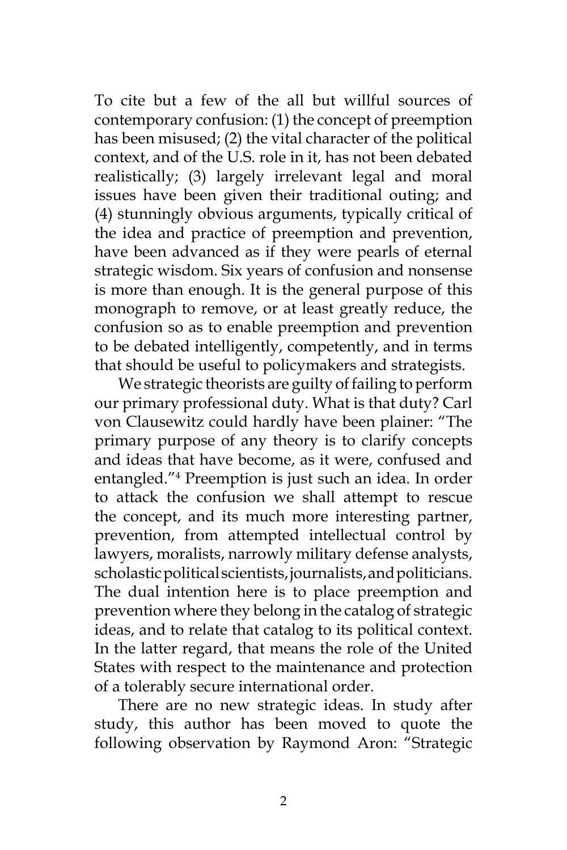To cite but a few of the all but willful sources of contemporary confusion: (1) the concept of preemption has been misused; (2) the vital character of the political context, and of the U.S. role in it, has not been debated realistically; (3) largely irrelevant legal and moral issues have been given their traditional outing; and (4) stunningly obvious arguments, typically critical of the idea and practice of preemption and prevention, have been advanced as if they were pearls of eternal strategic wisdom. Six years of confusion and nonsense is more than enough. It is the general purpose of this monograph to remove, or at least greatly reduce, the confusion so as to enable preemption and prevention to be debated intelligently, competently, and in terms that should be useful to policymakers and strategists.

We strategic theorists are guilty of failing to perform our primary professional duty. What is that duty? Carl von Clausewitz could hardly have been plainer: "The primary purpose of any theory is to clarify concepts and ideas that have become, as it were, confused and entangled."4 Preemption is just such an idea. In order to attack the confusion we shall attempt to rescue the concept, and its much more interesting partner, prevention, from attempted intellectual control by lawyers, moralists, narrowly military defense analysts, scholastic political scientists, journalists, and politicians. The dual intention here is to place preemption and prevention where they belong in the catalog of strategic ideas, and to relate that catalog to its political context. In the latter regard, that means the role of the United States with respect to the maintenance and protection of a tolerably secure international order.

There are no new strategic ideas. In study after study, this author has been moved to quote the following observation by Raymond Aron: "Strategic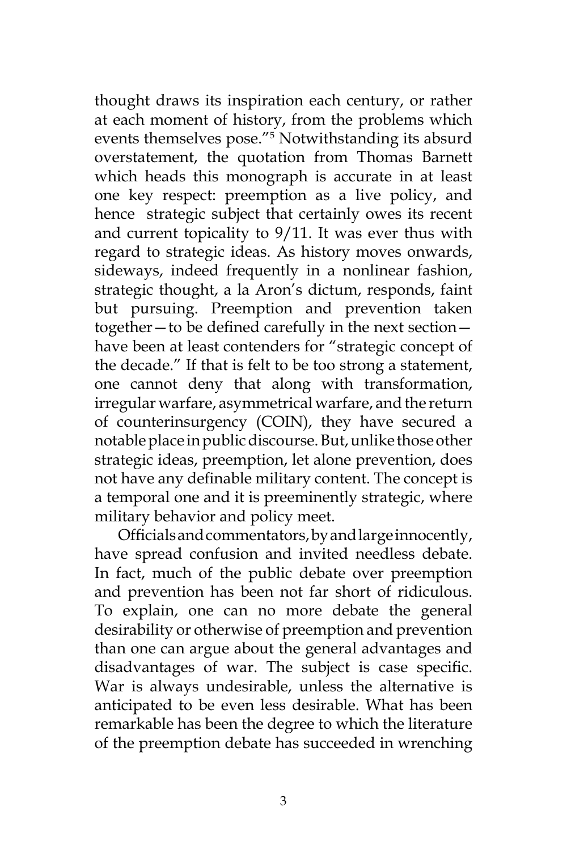thought draws its inspiration each century, or rather at each moment of history, from the problems which events themselves pose."5 Notwithstanding its absurd overstatement, the quotation from Thomas Barnett which heads this monograph is accurate in at least one key respect: preemption as a live policy, and hence strategic subject that certainly owes its recent and current topicality to 9/11. It was ever thus with regard to strategic ideas. As history moves onwards, sideways, indeed frequently in a nonlinear fashion, strategic thought, a la Aron's dictum, responds, faint but pursuing. Preemption and prevention taken together—to be defined carefully in the next section have been at least contenders for "strategic concept of the decade." If that is felt to be too strong a statement, one cannot deny that along with transformation, irregular warfare, asymmetrical warfare, and the return of counterinsurgency (COIN), they have secured a notable place in public discourse. But, unlike those other strategic ideas, preemption, let alone prevention, does not have any definable military content. The concept is a temporal one and it is preeminently strategic, where military behavior and policy meet.

Officials and commentators, by and large innocently, have spread confusion and invited needless debate. In fact, much of the public debate over preemption and prevention has been not far short of ridiculous. To explain, one can no more debate the general desirability or otherwise of preemption and prevention than one can argue about the general advantages and disadvantages of war. The subject is case specific. War is always undesirable, unless the alternative is anticipated to be even less desirable. What has been remarkable has been the degree to which the literature of the preemption debate has succeeded in wrenching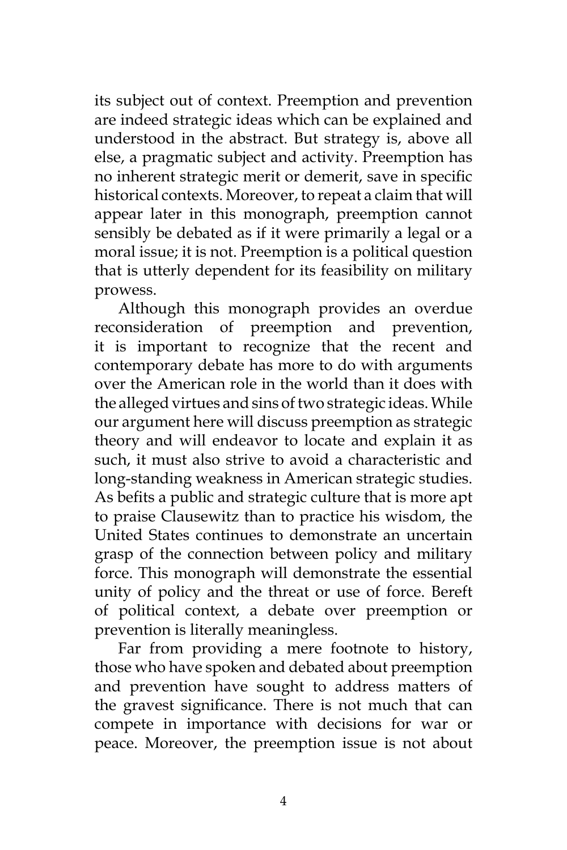its subject out of context. Preemption and prevention are indeed strategic ideas which can be explained and understood in the abstract. But strategy is, above all else, a pragmatic subject and activity. Preemption has no inherent strategic merit or demerit, save in specific historical contexts. Moreover, to repeat a claim that will appear later in this monograph, preemption cannot sensibly be debated as if it were primarily a legal or a moral issue; it is not. Preemption is a political question that is utterly dependent for its feasibility on military prowess.

Although this monograph provides an overdue reconsideration of preemption and prevention, it is important to recognize that the recent and contemporary debate has more to do with arguments over the American role in the world than it does with the alleged virtues and sins of two strategic ideas. While our argument here will discuss preemption as strategic theory and will endeavor to locate and explain it as such, it must also strive to avoid a characteristic and long-standing weakness in American strategic studies. As befits a public and strategic culture that is more apt to praise Clausewitz than to practice his wisdom, the United States continues to demonstrate an uncertain grasp of the connection between policy and military force. This monograph will demonstrate the essential unity of policy and the threat or use of force. Bereft of political context, a debate over preemption or prevention is literally meaningless.

Far from providing a mere footnote to history, those who have spoken and debated about preemption and prevention have sought to address matters of the gravest significance. There is not much that can compete in importance with decisions for war or peace. Moreover, the preemption issue is not about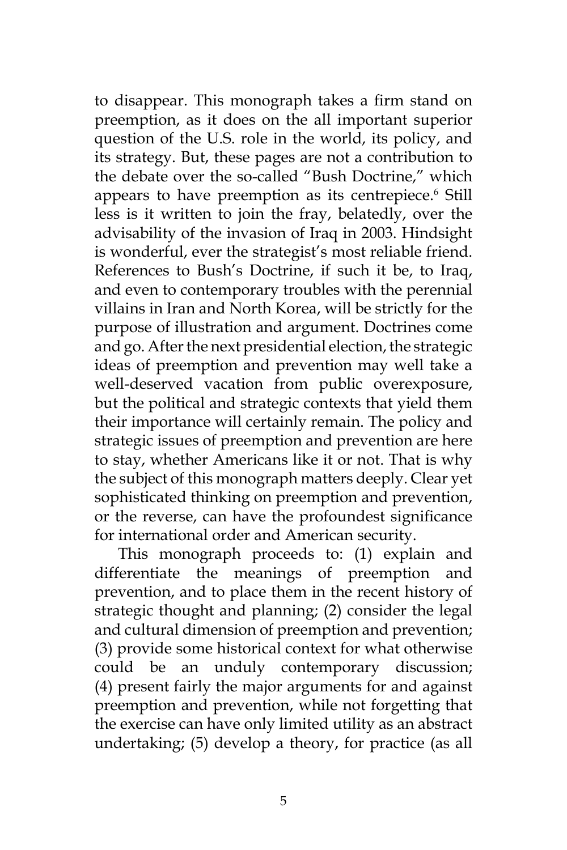to disappear. This monograph takes a firm stand on preemption, as it does on the all important superior question of the U.S. role in the world, its policy, and its strategy. But, these pages are not a contribution to the debate over the so-called "Bush Doctrine," which appears to have preemption as its centrepiece.<sup>6</sup> Still less is it written to join the fray, belatedly, over the advisability of the invasion of Iraq in 2003. Hindsight is wonderful, ever the strategist's most reliable friend. References to Bush's Doctrine, if such it be, to Iraq, and even to contemporary troubles with the perennial villains in Iran and North Korea, will be strictly for the purpose of illustration and argument. Doctrines come and go. After the next presidential election, the strategic ideas of preemption and prevention may well take a well-deserved vacation from public overexposure, but the political and strategic contexts that yield them their importance will certainly remain. The policy and strategic issues of preemption and prevention are here to stay, whether Americans like it or not. That is why the subject of this monograph matters deeply. Clear yet sophisticated thinking on preemption and prevention, or the reverse, can have the profoundest significance for international order and American security.

This monograph proceeds to: (1) explain and differentiate the meanings of preemption and prevention, and to place them in the recent history of strategic thought and planning; (2) consider the legal and cultural dimension of preemption and prevention; (3) provide some historical context for what otherwise could be an unduly contemporary discussion; (4) present fairly the major arguments for and against preemption and prevention, while not forgetting that the exercise can have only limited utility as an abstract undertaking; (5) develop a theory, for practice (as all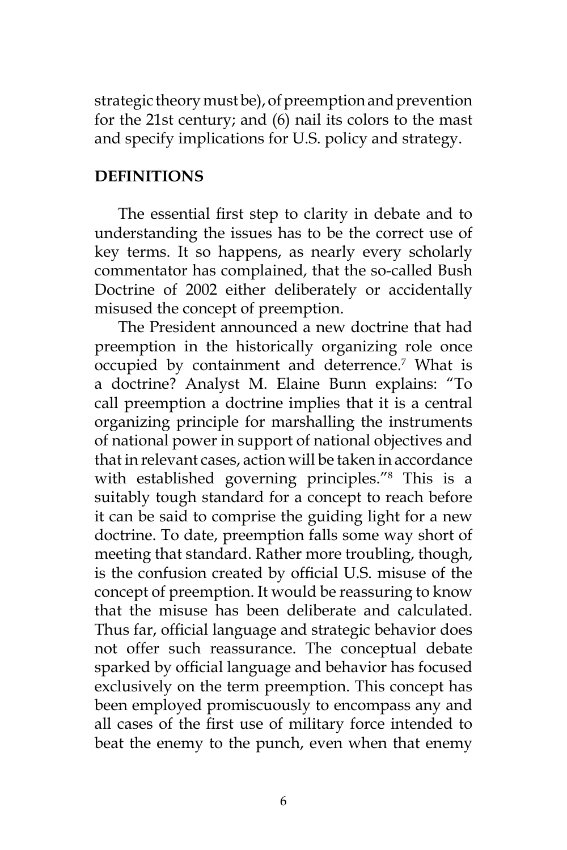strategic theory must be), of preemption and prevention for the 21st century; and (6) nail its colors to the mast and specify implications for U.S. policy and strategy.

### **DEFINITIONS**

The essential first step to clarity in debate and to understanding the issues has to be the correct use of key terms. It so happens, as nearly every scholarly commentator has complained, that the so-called Bush Doctrine of 2002 either deliberately or accidentally misused the concept of preemption.

The President announced a new doctrine that had preemption in the historically organizing role once occupied by containment and deterrence.<sup>7</sup> What is a doctrine? Analyst M. Elaine Bunn explains: "To call preemption a doctrine implies that it is a central organizing principle for marshalling the instruments of national power in support of national objectives and that in relevant cases, action will be taken in accordance with established governing principles."8 This is a suitably tough standard for a concept to reach before it can be said to comprise the guiding light for a new doctrine. To date, preemption falls some way short of meeting that standard. Rather more troubling, though, is the confusion created by official U.S. misuse of the concept of preemption. It would be reassuring to know that the misuse has been deliberate and calculated. Thus far, official language and strategic behavior does not offer such reassurance. The conceptual debate sparked by official language and behavior has focused exclusively on the term preemption. This concept has been employed promiscuously to encompass any and all cases of the first use of military force intended to beat the enemy to the punch, even when that enemy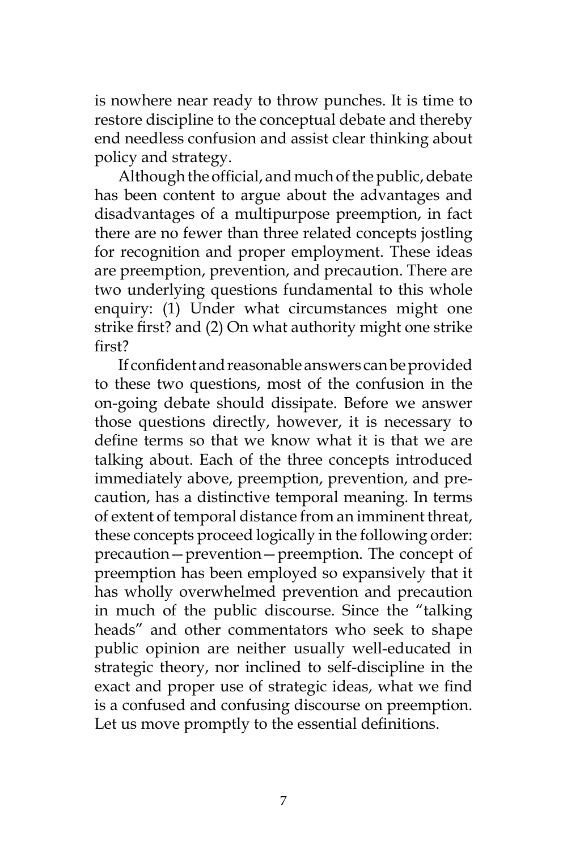is nowhere near ready to throw punches. It is time to restore discipline to the conceptual debate and thereby end needless confusion and assist clear thinking about policy and strategy.

Although the official, and much of the public, debate has been content to argue about the advantages and disadvantages of a multipurpose preemption, in fact there are no fewer than three related concepts jostling for recognition and proper employment. These ideas are preemption, prevention, and precaution. There are two underlying questions fundamental to this whole enquiry: (1) Under what circumstances might one strike first? and (2) On what authority might one strike first?

If confident and reasonable answers can be provided to these two questions, most of the confusion in the on-going debate should dissipate. Before we answer those questions directly, however, it is necessary to define terms so that we know what it is that we are talking about. Each of the three concepts introduced immediately above, preemption, prevention, and precaution, has a distinctive temporal meaning. In terms of extent of temporal distance from an imminent threat, these concepts proceed logically in the following order: precaution—prevention—preemption. The concept of preemption has been employed so expansively that it has wholly overwhelmed prevention and precaution in much of the public discourse. Since the "talking heads" and other commentators who seek to shape public opinion are neither usually well-educated in strategic theory, nor inclined to self-discipline in the exact and proper use of strategic ideas, what we find is a confused and confusing discourse on preemption. Let us move promptly to the essential definitions.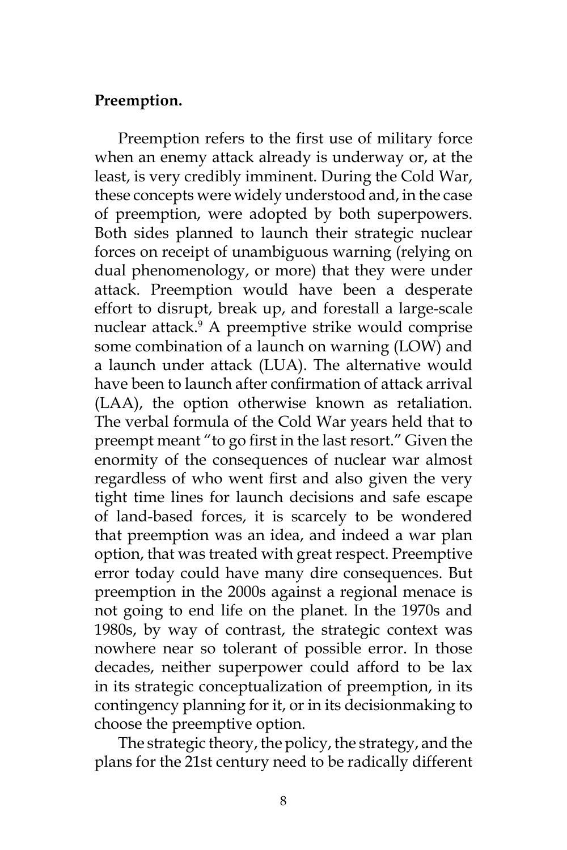#### **Preemption.**

Preemption refers to the first use of military force when an enemy attack already is underway or, at the least, is very credibly imminent. During the Cold War, these concepts were widely understood and, in the case of preemption, were adopted by both superpowers. Both sides planned to launch their strategic nuclear forces on receipt of unambiguous warning (relying on dual phenomenology, or more) that they were under attack. Preemption would have been a desperate effort to disrupt, break up, and forestall a large-scale nuclear attack.<sup>9</sup> A preemptive strike would comprise some combination of a launch on warning (LOW) and a launch under attack (LUA). The alternative would have been to launch after confirmation of attack arrival (LAA), the option otherwise known as retaliation. The verbal formula of the Cold War years held that to preempt meant "to go first in the last resort." Given the enormity of the consequences of nuclear war almost regardless of who went first and also given the very tight time lines for launch decisions and safe escape of land-based forces, it is scarcely to be wondered that preemption was an idea, and indeed a war plan option, that was treated with great respect. Preemptive error today could have many dire consequences. But preemption in the 2000s against a regional menace is not going to end life on the planet. In the 1970s and 1980s, by way of contrast, the strategic context was nowhere near so tolerant of possible error. In those decades, neither superpower could afford to be lax in its strategic conceptualization of preemption, in its contingency planning for it, or in its decisionmaking to choose the preemptive option.

The strategic theory, the policy, the strategy, and the plans for the 21st century need to be radically different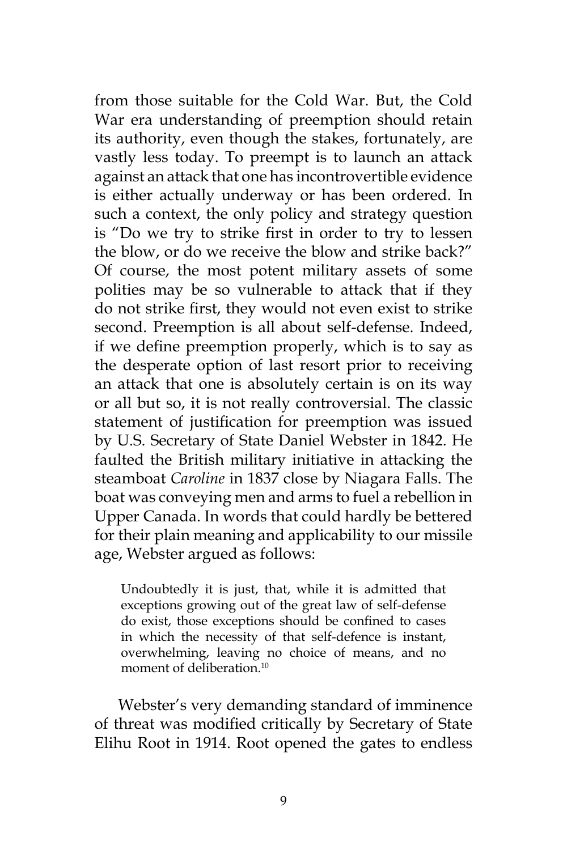from those suitable for the Cold War. But, the Cold War era understanding of preemption should retain its authority, even though the stakes, fortunately, are vastly less today. To preempt is to launch an attack against an attack that one has incontrovertible evidence is either actually underway or has been ordered. In such a context, the only policy and strategy question is "Do we try to strike first in order to try to lessen the blow, or do we receive the blow and strike back?" Of course, the most potent military assets of some polities may be so vulnerable to attack that if they do not strike first, they would not even exist to strike second. Preemption is all about self-defense. Indeed, if we define preemption properly, which is to say as the desperate option of last resort prior to receiving an attack that one is absolutely certain is on its way or all but so, it is not really controversial. The classic statement of justification for preemption was issued by U.S. Secretary of State Daniel Webster in 1842. He faulted the British military initiative in attacking the steamboat *Caroline* in 1837 close by Niagara Falls. The boat was conveying men and arms to fuel a rebellion in Upper Canada. In words that could hardly be bettered for their plain meaning and applicability to our missile age, Webster argued as follows:

Undoubtedly it is just, that, while it is admitted that exceptions growing out of the great law of self-defense do exist, those exceptions should be confined to cases in which the necessity of that self-defence is instant, overwhelming, leaving no choice of means, and no moment of deliberation.<sup>10</sup>

Webster's very demanding standard of imminence of threat was modified critically by Secretary of State Elihu Root in 1914. Root opened the gates to endless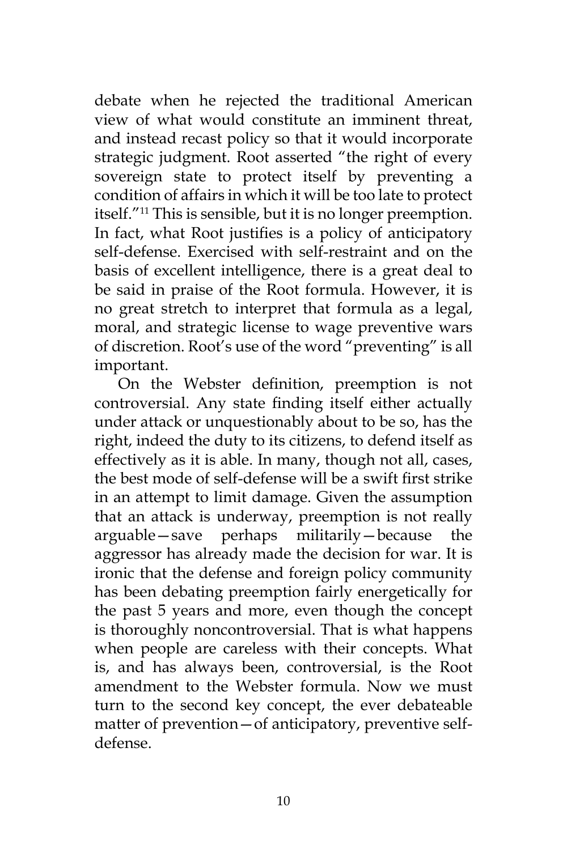debate when he rejected the traditional American view of what would constitute an imminent threat, and instead recast policy so that it would incorporate strategic judgment. Root asserted "the right of every sovereign state to protect itself by preventing a condition of affairs in which it will be too late to protect itself."11 This is sensible, but it is no longer preemption. In fact, what Root justifies is a policy of anticipatory self-defense. Exercised with self-restraint and on the basis of excellent intelligence, there is a great deal to be said in praise of the Root formula. However, it is no great stretch to interpret that formula as a legal, moral, and strategic license to wage preventive wars of discretion. Root's use of the word "preventing" is all important.

On the Webster definition, preemption is not controversial. Any state finding itself either actually under attack or unquestionably about to be so, has the right, indeed the duty to its citizens, to defend itself as effectively as it is able. In many, though not all, cases, the best mode of self-defense will be a swift first strike in an attempt to limit damage. Given the assumption that an attack is underway, preemption is not really arguable—save perhaps militarily—because the aggressor has already made the decision for war. It is ironic that the defense and foreign policy community has been debating preemption fairly energetically for the past 5 years and more, even though the concept is thoroughly noncontroversial. That is what happens when people are careless with their concepts. What is, and has always been, controversial, is the Root amendment to the Webster formula. Now we must turn to the second key concept, the ever debateable matter of prevention—of anticipatory, preventive selfdefense.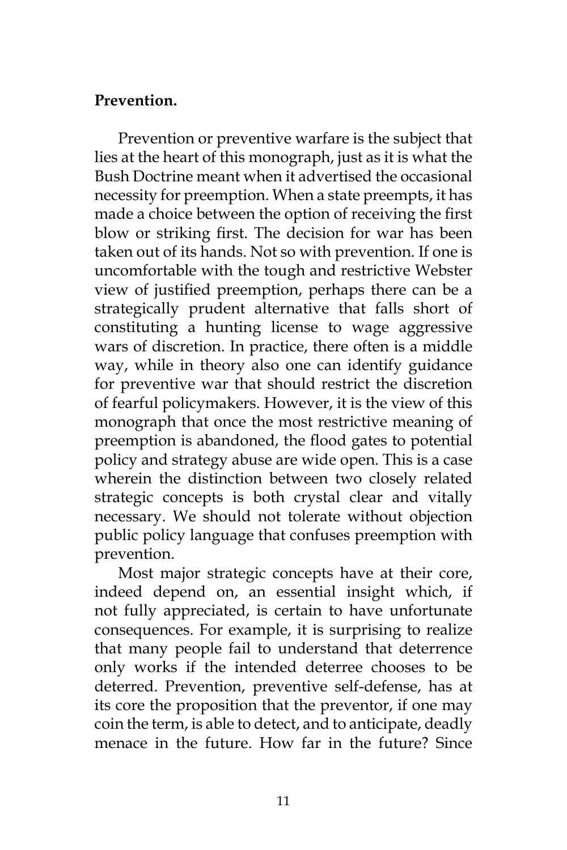# **Prevention.**

Prevention or preventive warfare is the subject that lies at the heart of this monograph, just as it is what the Bush Doctrine meant when it advertised the occasional necessity for preemption. When a state preempts, it has made a choice between the option of receiving the first blow or striking first. The decision for war has been taken out of its hands. Not so with prevention. If one is uncomfortable with the tough and restrictive Webster view of justified preemption, perhaps there can be a strategically prudent alternative that falls short of constituting a hunting license to wage aggressive wars of discretion. In practice, there often is a middle way, while in theory also one can identify guidance for preventive war that should restrict the discretion of fearful policymakers. However, it is the view of this monograph that once the most restrictive meaning of preemption is abandoned, the flood gates to potential policy and strategy abuse are wide open. This is a case wherein the distinction between two closely related strategic concepts is both crystal clear and vitally necessary. We should not tolerate without objection public policy language that confuses preemption with prevention.

Most major strategic concepts have at their core, indeed depend on, an essential insight which, if not fully appreciated, is certain to have unfortunate consequences. For example, it is surprising to realize that many people fail to understand that deterrence only works if the intended deterree chooses to be deterred. Prevention, preventive self-defense, has at its core the proposition that the preventor, if one may coin the term, is able to detect, and to anticipate, deadly menace in the future. How far in the future? Since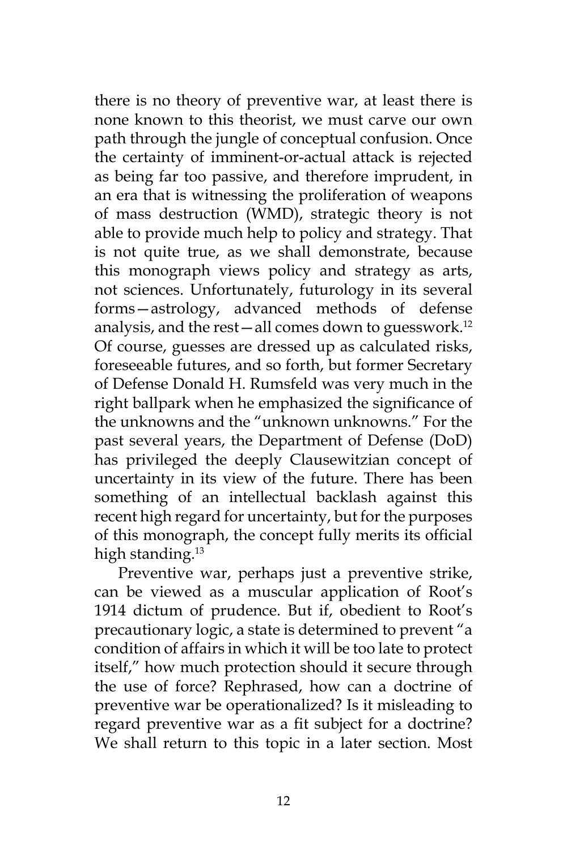there is no theory of preventive war, at least there is none known to this theorist, we must carve our own path through the jungle of conceptual confusion. Once the certainty of imminent-or-actual attack is rejected as being far too passive, and therefore imprudent, in an era that is witnessing the proliferation of weapons of mass destruction (WMD), strategic theory is not able to provide much help to policy and strategy. That is not quite true, as we shall demonstrate, because this monograph views policy and strategy as arts, not sciences. Unfortunately, futurology in its several forms—astrology, advanced methods of defense analysis, and the rest—all comes down to guesswork.12 Of course, guesses are dressed up as calculated risks, foreseeable futures, and so forth, but former Secretary of Defense Donald H. Rumsfeld was very much in the right ballpark when he emphasized the significance of the unknowns and the "unknown unknowns." For the past several years, the Department of Defense (DoD) has privileged the deeply Clausewitzian concept of uncertainty in its view of the future. There has been something of an intellectual backlash against this recent high regard for uncertainty, but for the purposes of this monograph, the concept fully merits its official high standing.<sup>13</sup>

Preventive war, perhaps just a preventive strike, can be viewed as a muscular application of Root's 1914 dictum of prudence. But if, obedient to Root's precautionary logic, a state is determined to prevent "a condition of affairs in which it will be too late to protect itself," how much protection should it secure through the use of force? Rephrased, how can a doctrine of preventive war be operationalized? Is it misleading to regard preventive war as a fit subject for a doctrine? We shall return to this topic in a later section. Most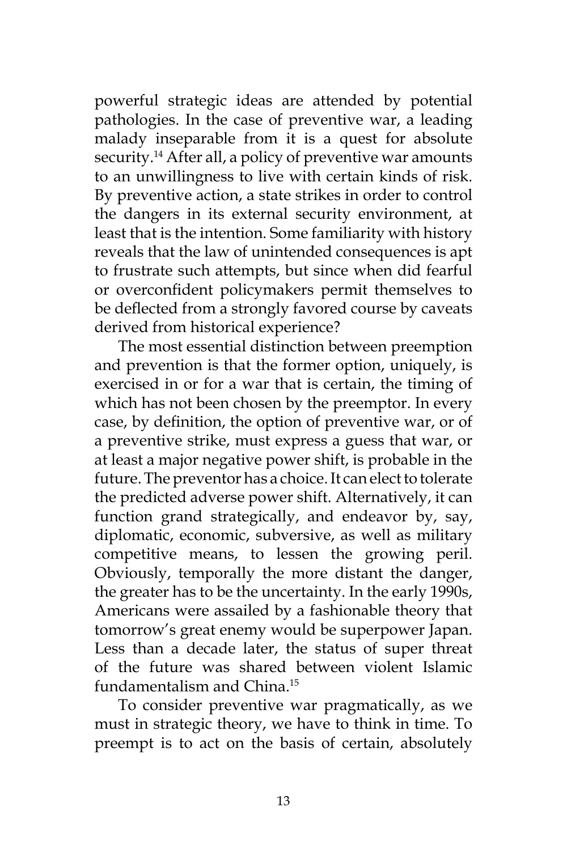powerful strategic ideas are attended by potential pathologies. In the case of preventive war, a leading malady inseparable from it is a quest for absolute security.<sup>14</sup> After all, a policy of preventive war amounts to an unwillingness to live with certain kinds of risk. By preventive action, a state strikes in order to control the dangers in its external security environment, at least that is the intention. Some familiarity with history reveals that the law of unintended consequences is apt to frustrate such attempts, but since when did fearful or overconfident policymakers permit themselves to be deflected from a strongly favored course by caveats derived from historical experience?

The most essential distinction between preemption and prevention is that the former option, uniquely, is exercised in or for a war that is certain, the timing of which has not been chosen by the preemptor. In every case, by definition, the option of preventive war, or of a preventive strike, must express a guess that war, or at least a major negative power shift, is probable in the future. The preventor has a choice. It can elect to tolerate the predicted adverse power shift. Alternatively, it can function grand strategically, and endeavor by, say, diplomatic, economic, subversive, as well as military competitive means, to lessen the growing peril. Obviously, temporally the more distant the danger, the greater has to be the uncertainty. In the early 1990s, Americans were assailed by a fashionable theory that tomorrow's great enemy would be superpower Japan. Less than a decade later, the status of super threat of the future was shared between violent Islamic fundamentalism and China.15

To consider preventive war pragmatically, as we must in strategic theory, we have to think in time. To preempt is to act on the basis of certain, absolutely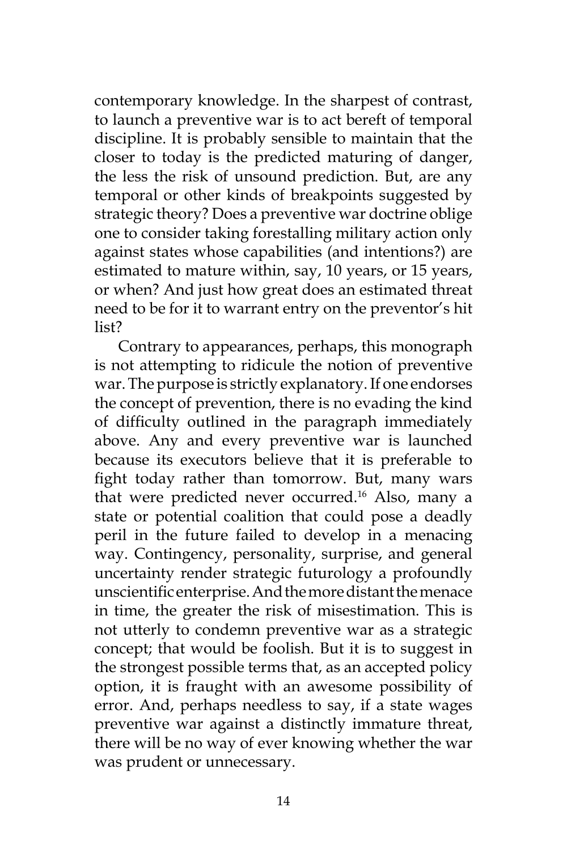contemporary knowledge. In the sharpest of contrast, to launch a preventive war is to act bereft of temporal discipline. It is probably sensible to maintain that the closer to today is the predicted maturing of danger, the less the risk of unsound prediction. But, are any temporal or other kinds of breakpoints suggested by strategic theory? Does a preventive war doctrine oblige one to consider taking forestalling military action only against states whose capabilities (and intentions?) are estimated to mature within, say, 10 years, or 15 years, or when? And just how great does an estimated threat need to be for it to warrant entry on the preventor's hit list?

Contrary to appearances, perhaps, this monograph is not attempting to ridicule the notion of preventive war. The purpose is strictly explanatory. If one endorses the concept of prevention, there is no evading the kind of difficulty outlined in the paragraph immediately above. Any and every preventive war is launched because its executors believe that it is preferable to fight today rather than tomorrow. But, many wars that were predicted never occurred.16 Also, many a state or potential coalition that could pose a deadly peril in the future failed to develop in a menacing way. Contingency, personality, surprise, and general uncertainty render strategic futurology a profoundly unscientific enterprise. And the more distant the menace in time, the greater the risk of misestimation. This is not utterly to condemn preventive war as a strategic concept; that would be foolish. But it is to suggest in the strongest possible terms that, as an accepted policy option, it is fraught with an awesome possibility of error. And, perhaps needless to say, if a state wages preventive war against a distinctly immature threat, there will be no way of ever knowing whether the war was prudent or unnecessary.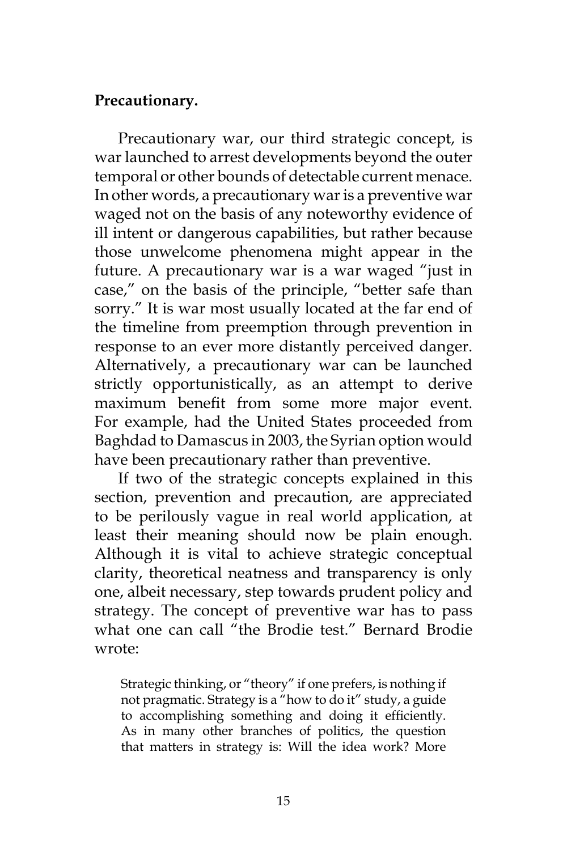# **Precautionary.**

Precautionary war, our third strategic concept, is war launched to arrest developments beyond the outer temporal or other bounds of detectable current menace. In other words, a precautionary war is a preventive war waged not on the basis of any noteworthy evidence of ill intent or dangerous capabilities, but rather because those unwelcome phenomena might appear in the future. A precautionary war is a war waged "just in case," on the basis of the principle, "better safe than sorry." It is war most usually located at the far end of the timeline from preemption through prevention in response to an ever more distantly perceived danger. Alternatively, a precautionary war can be launched strictly opportunistically, as an attempt to derive maximum benefit from some more major event. For example, had the United States proceeded from Baghdad to Damascus in 2003, the Syrian option would have been precautionary rather than preventive.

If two of the strategic concepts explained in this section, prevention and precaution, are appreciated to be perilously vague in real world application, at least their meaning should now be plain enough. Although it is vital to achieve strategic conceptual clarity, theoretical neatness and transparency is only one, albeit necessary, step towards prudent policy and strategy. The concept of preventive war has to pass what one can call "the Brodie test." Bernard Brodie wrote:

Strategic thinking, or "theory" if one prefers, is nothing if not pragmatic. Strategy is a "how to do it" study, a guide to accomplishing something and doing it efficiently. As in many other branches of politics, the question that matters in strategy is: Will the idea work? More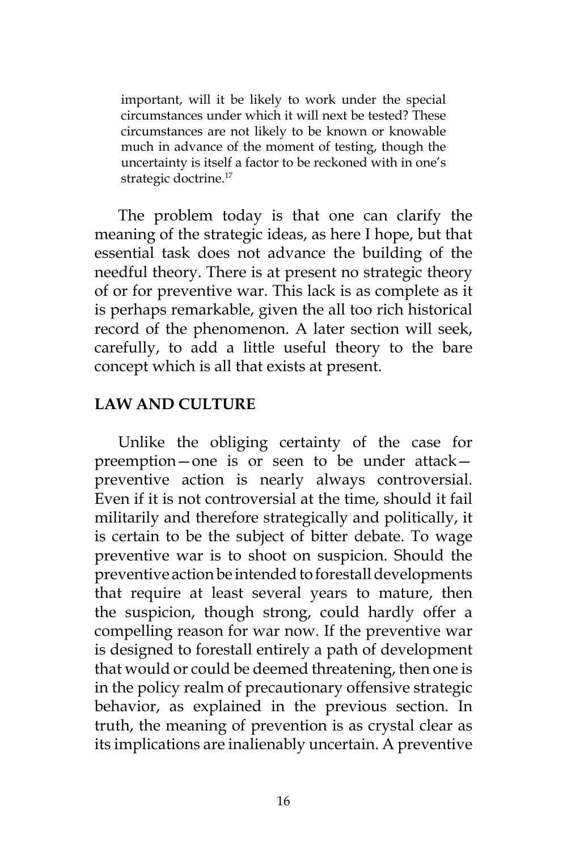important, will it be likely to work under the special circumstances under which it will next be tested? These circumstances are not likely to be known or knowable much in advance of the moment of testing, though the uncertainty is itself a factor to be reckoned with in one's strategic doctrine.17

The problem today is that one can clarify the meaning of the strategic ideas, as here I hope, but that essential task does not advance the building of the needful theory. There is at present no strategic theory of or for preventive war. This lack is as complete as it is perhaps remarkable, given the all too rich historical record of the phenomenon. A later section will seek, carefully, to add a little useful theory to the bare concept which is all that exists at present.

# **LAW AND CULTURE**

Unlike the obliging certainty of the case for preemption—one is or seen to be under attack preventive action is nearly always controversial. Even if it is not controversial at the time, should it fail militarily and therefore strategically and politically, it is certain to be the subject of bitter debate. To wage preventive war is to shoot on suspicion. Should the preventive action be intended to forestall developments that require at least several years to mature, then the suspicion, though strong, could hardly offer a compelling reason for war now. If the preventive war is designed to forestall entirely a path of development that would or could be deemed threatening, then one is in the policy realm of precautionary offensive strategic behavior, as explained in the previous section. In truth, the meaning of prevention is as crystal clear as its implications are inalienably uncertain. A preventive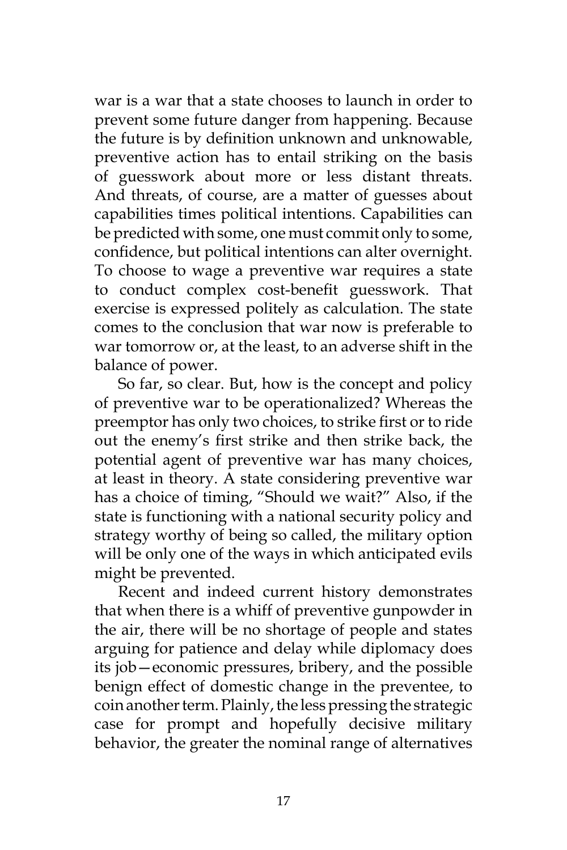war is a war that a state chooses to launch in order to prevent some future danger from happening. Because the future is by definition unknown and unknowable, preventive action has to entail striking on the basis of guesswork about more or less distant threats. And threats, of course, are a matter of guesses about capabilities times political intentions. Capabilities can be predicted with some, one must commit only to some, confidence, but political intentions can alter overnight. To choose to wage a preventive war requires a state to conduct complex cost-benefit guesswork. That exercise is expressed politely as calculation. The state comes to the conclusion that war now is preferable to war tomorrow or, at the least, to an adverse shift in the balance of power.

So far, so clear. But, how is the concept and policy of preventive war to be operationalized? Whereas the preemptor has only two choices, to strike first or to ride out the enemy's first strike and then strike back, the potential agent of preventive war has many choices, at least in theory. A state considering preventive war has a choice of timing, "Should we wait?" Also, if the state is functioning with a national security policy and strategy worthy of being so called, the military option will be only one of the ways in which anticipated evils might be prevented.

Recent and indeed current history demonstrates that when there is a whiff of preventive gunpowder in the air, there will be no shortage of people and states arguing for patience and delay while diplomacy does its job—economic pressures, bribery, and the possible benign effect of domestic change in the preventee, to coin another term. Plainly, the less pressing the strategic case for prompt and hopefully decisive military behavior, the greater the nominal range of alternatives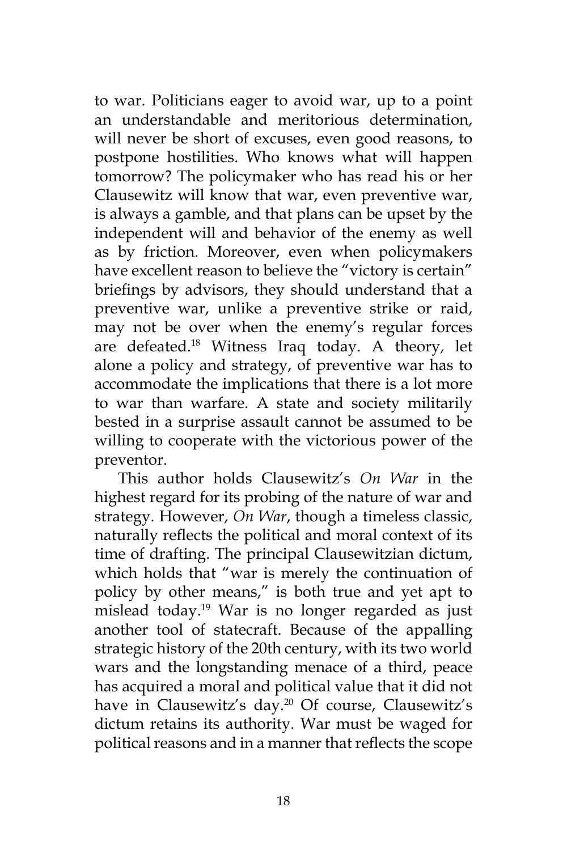to war. Politicians eager to avoid war, up to a point an understandable and meritorious determination, will never be short of excuses, even good reasons, to postpone hostilities. Who knows what will happen tomorrow? The policymaker who has read his or her Clausewitz will know that war, even preventive war, is always a gamble, and that plans can be upset by the independent will and behavior of the enemy as well as by friction. Moreover, even when policymakers have excellent reason to believe the "victory is certain" briefings by advisors, they should understand that a preventive war, unlike a preventive strike or raid, may not be over when the enemy's regular forces are defeated.18 Witness Iraq today. A theory, let alone a policy and strategy, of preventive war has to accommodate the implications that there is a lot more to war than warfare. A state and society militarily bested in a surprise assault cannot be assumed to be willing to cooperate with the victorious power of the preventor.

This author holds Clausewitz's *On War* in the highest regard for its probing of the nature of war and strategy. However, *On War*, though a timeless classic, naturally reflects the political and moral context of its time of drafting. The principal Clausewitzian dictum, which holds that "war is merely the continuation of policy by other means," is both true and yet apt to mislead today.19 War is no longer regarded as just another tool of statecraft. Because of the appalling strategic history of the 20th century, with its two world wars and the longstanding menace of a third, peace has acquired a moral and political value that it did not have in Clausewitz's day.<sup>20</sup> Of course, Clausewitz's dictum retains its authority. War must be waged for political reasons and in a manner that reflects the scope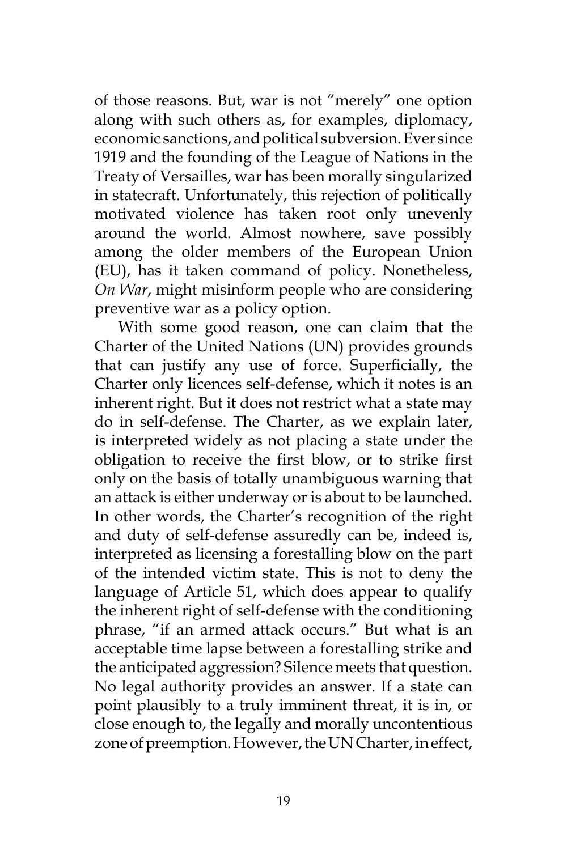of those reasons. But, war is not "merely" one option along with such others as, for examples, diplomacy, economic sanctions, and political subversion. Ever since 1919 and the founding of the League of Nations in the Treaty of Versailles, war has been morally singularized in statecraft. Unfortunately, this rejection of politically motivated violence has taken root only unevenly around the world. Almost nowhere, save possibly among the older members of the European Union (EU), has it taken command of policy. Nonetheless, *On War*, might misinform people who are considering preventive war as a policy option.

With some good reason, one can claim that the Charter of the United Nations (UN) provides grounds that can justify any use of force. Superficially, the Charter only licences self-defense, which it notes is an inherent right. But it does not restrict what a state may do in self-defense. The Charter, as we explain later, is interpreted widely as not placing a state under the obligation to receive the first blow, or to strike first only on the basis of totally unambiguous warning that an attack is either underway or is about to be launched. In other words, the Charter's recognition of the right and duty of self-defense assuredly can be, indeed is, interpreted as licensing a forestalling blow on the part of the intended victim state. This is not to deny the language of Article 51, which does appear to qualify the inherent right of self-defense with the conditioning phrase, "if an armed attack occurs." But what is an acceptable time lapse between a forestalling strike and the anticipated aggression? Silence meets that question. No legal authority provides an answer. If a state can point plausibly to a truly imminent threat, it is in, or close enough to, the legally and morally uncontentious zone of preemption. However, the UN Charter, in effect,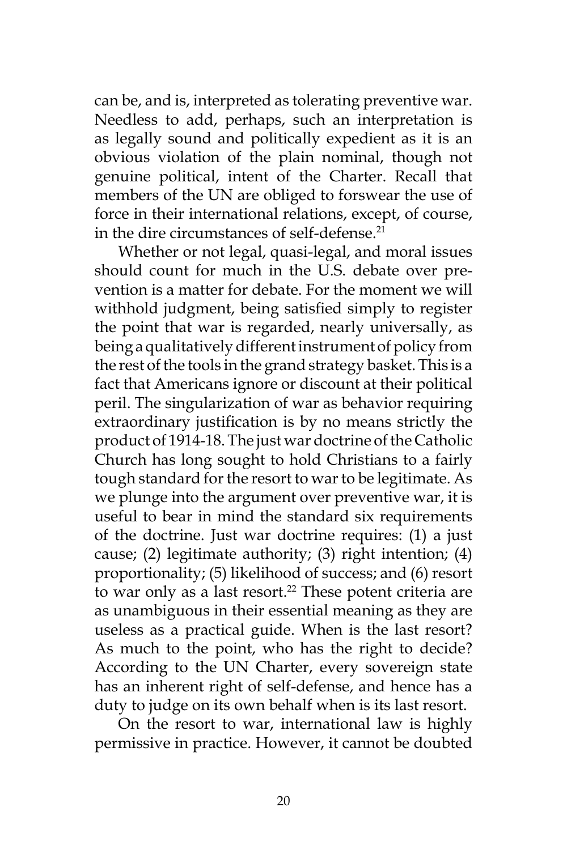can be, and is, interpreted as tolerating preventive war. Needless to add, perhaps, such an interpretation is as legally sound and politically expedient as it is an obvious violation of the plain nominal, though not genuine political, intent of the Charter. Recall that members of the UN are obliged to forswear the use of force in their international relations, except, of course, in the dire circumstances of self-defense.<sup>21</sup>

Whether or not legal, quasi-legal, and moral issues should count for much in the U.S. debate over prevention is a matter for debate. For the moment we will withhold judgment, being satisfied simply to register the point that war is regarded, nearly universally, as being a qualitatively different instrument of policy from the rest of the tools in the grand strategy basket. This is a fact that Americans ignore or discount at their political peril. The singularization of war as behavior requiring extraordinary justification is by no means strictly the product of 1914-18. The just war doctrine of the Catholic Church has long sought to hold Christians to a fairly tough standard for the resort to war to be legitimate. As we plunge into the argument over preventive war, it is useful to bear in mind the standard six requirements of the doctrine. Just war doctrine requires: (1) a just cause; (2) legitimate authority; (3) right intention; (4) proportionality; (5) likelihood of success; and (6) resort to war only as a last resort.<sup>22</sup> These potent criteria are as unambiguous in their essential meaning as they are useless as a practical guide. When is the last resort? As much to the point, who has the right to decide? According to the UN Charter, every sovereign state has an inherent right of self-defense, and hence has a duty to judge on its own behalf when is its last resort.

On the resort to war, international law is highly permissive in practice. However, it cannot be doubted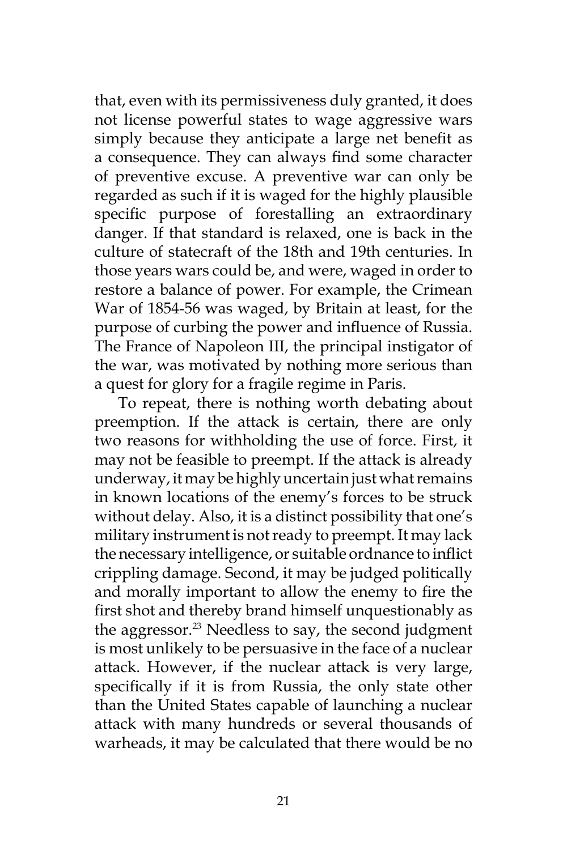that, even with its permissiveness duly granted, it does not license powerful states to wage aggressive wars simply because they anticipate a large net benefit as a consequence. They can always find some character of preventive excuse. A preventive war can only be regarded as such if it is waged for the highly plausible specific purpose of forestalling an extraordinary danger. If that standard is relaxed, one is back in the culture of statecraft of the 18th and 19th centuries. In those years wars could be, and were, waged in order to restore a balance of power. For example, the Crimean War of 1854-56 was waged, by Britain at least, for the purpose of curbing the power and influence of Russia. The France of Napoleon III, the principal instigator of the war, was motivated by nothing more serious than a quest for glory for a fragile regime in Paris.

To repeat, there is nothing worth debating about preemption. If the attack is certain, there are only two reasons for withholding the use of force. First, it may not be feasible to preempt. If the attack is already underway, it may be highly uncertain just what remains in known locations of the enemy's forces to be struck without delay. Also, it is a distinct possibility that one's military instrument is not ready to preempt. It may lack the necessary intelligence, or suitable ordnance to inflict crippling damage. Second, it may be judged politically and morally important to allow the enemy to fire the first shot and thereby brand himself unquestionably as the aggressor.<sup>23</sup> Needless to say, the second judgment is most unlikely to be persuasive in the face of a nuclear attack. However, if the nuclear attack is very large, specifically if it is from Russia, the only state other than the United States capable of launching a nuclear attack with many hundreds or several thousands of warheads, it may be calculated that there would be no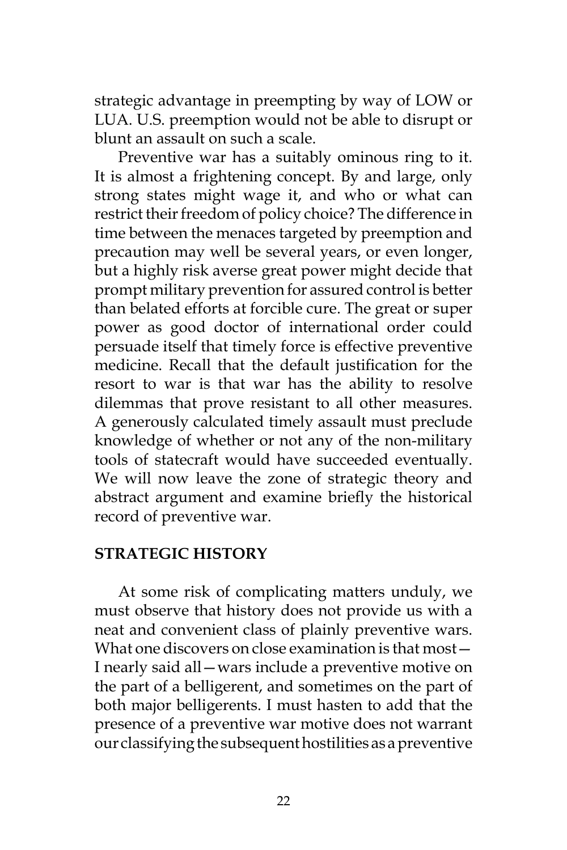strategic advantage in preempting by way of LOW or LUA. U.S. preemption would not be able to disrupt or blunt an assault on such a scale.

Preventive war has a suitably ominous ring to it. It is almost a frightening concept. By and large, only strong states might wage it, and who or what can restrict their freedom of policy choice? The difference in time between the menaces targeted by preemption and precaution may well be several years, or even longer, but a highly risk averse great power might decide that prompt military prevention for assured control is better than belated efforts at forcible cure. The great or super power as good doctor of international order could persuade itself that timely force is effective preventive medicine. Recall that the default justification for the resort to war is that war has the ability to resolve dilemmas that prove resistant to all other measures. A generously calculated timely assault must preclude knowledge of whether or not any of the non-military tools of statecraft would have succeeded eventually. We will now leave the zone of strategic theory and abstract argument and examine briefly the historical record of preventive war.

# **STRATEGIC HISTORY**

At some risk of complicating matters unduly, we must observe that history does not provide us with a neat and convenient class of plainly preventive wars. What one discovers on close examination is that most— I nearly said all—wars include a preventive motive on the part of a belligerent, and sometimes on the part of both major belligerents. I must hasten to add that the presence of a preventive war motive does not warrant our classifying the subsequent hostilities as a preventive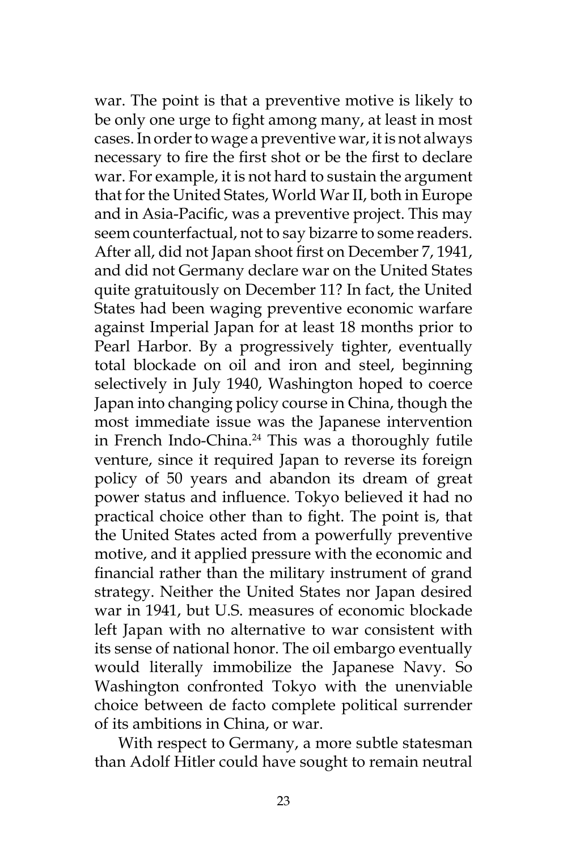war. The point is that a preventive motive is likely to be only one urge to fight among many, at least in most cases. In order to wage a preventive war, it is not always necessary to fire the first shot or be the first to declare war. For example, it is not hard to sustain the argument that for the United States, World War II, both in Europe and in Asia-Pacific, was a preventive project. This may seem counterfactual, not to say bizarre to some readers. After all, did not Japan shoot first on December 7, 1941, and did not Germany declare war on the United States quite gratuitously on December 11? In fact, the United States had been waging preventive economic warfare against Imperial Japan for at least 18 months prior to Pearl Harbor. By a progressively tighter, eventually total blockade on oil and iron and steel, beginning selectively in July 1940, Washington hoped to coerce Japan into changing policy course in China, though the most immediate issue was the Japanese intervention in French Indo-China.<sup>24</sup> This was a thoroughly futile venture, since it required Japan to reverse its foreign policy of 50 years and abandon its dream of great power status and influence. Tokyo believed it had no practical choice other than to fight. The point is, that the United States acted from a powerfully preventive motive, and it applied pressure with the economic and financial rather than the military instrument of grand strategy. Neither the United States nor Japan desired war in 1941, but U.S. measures of economic blockade left Japan with no alternative to war consistent with its sense of national honor. The oil embargo eventually would literally immobilize the Japanese Navy. So Washington confronted Tokyo with the unenviable choice between de facto complete political surrender of its ambitions in China, or war.

With respect to Germany, a more subtle statesman than Adolf Hitler could have sought to remain neutral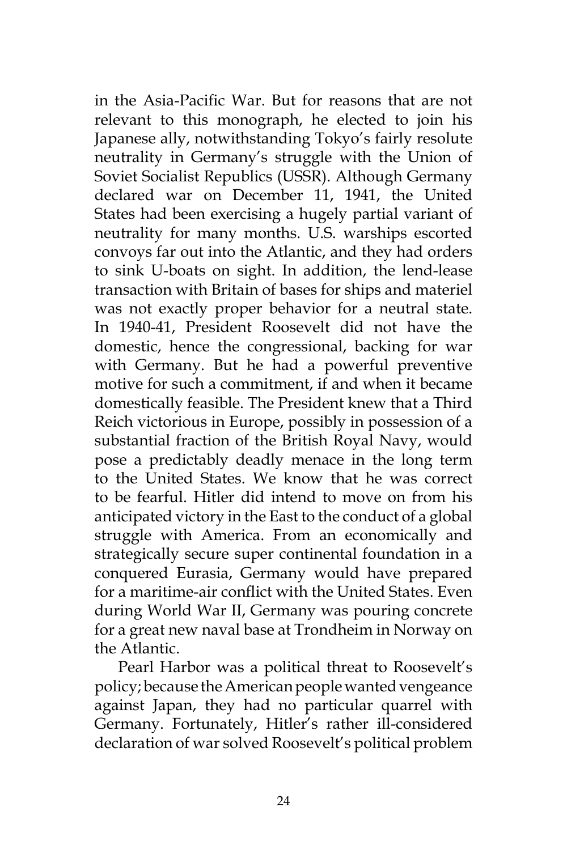in the Asia-Pacific War. But for reasons that are not relevant to this monograph, he elected to join his Japanese ally, notwithstanding Tokyo's fairly resolute neutrality in Germany's struggle with the Union of Soviet Socialist Republics (USSR). Although Germany declared war on December 11, 1941, the United States had been exercising a hugely partial variant of neutrality for many months. U.S. warships escorted convoys far out into the Atlantic, and they had orders to sink U-boats on sight. In addition, the lend-lease transaction with Britain of bases for ships and materiel was not exactly proper behavior for a neutral state. In 1940-41, President Roosevelt did not have the domestic, hence the congressional, backing for war with Germany. But he had a powerful preventive motive for such a commitment, if and when it became domestically feasible. The President knew that a Third Reich victorious in Europe, possibly in possession of a substantial fraction of the British Royal Navy, would pose a predictably deadly menace in the long term to the United States. We know that he was correct to be fearful. Hitler did intend to move on from his anticipated victory in the East to the conduct of a global struggle with America. From an economically and strategically secure super continental foundation in a conquered Eurasia, Germany would have prepared for a maritime-air conflict with the United States. Even during World War II, Germany was pouring concrete for a great new naval base at Trondheim in Norway on the Atlantic.

Pearl Harbor was a political threat to Roosevelt's policy; because the American people wanted vengeance against Japan, they had no particular quarrel with Germany. Fortunately, Hitler's rather ill-considered declaration of war solved Roosevelt's political problem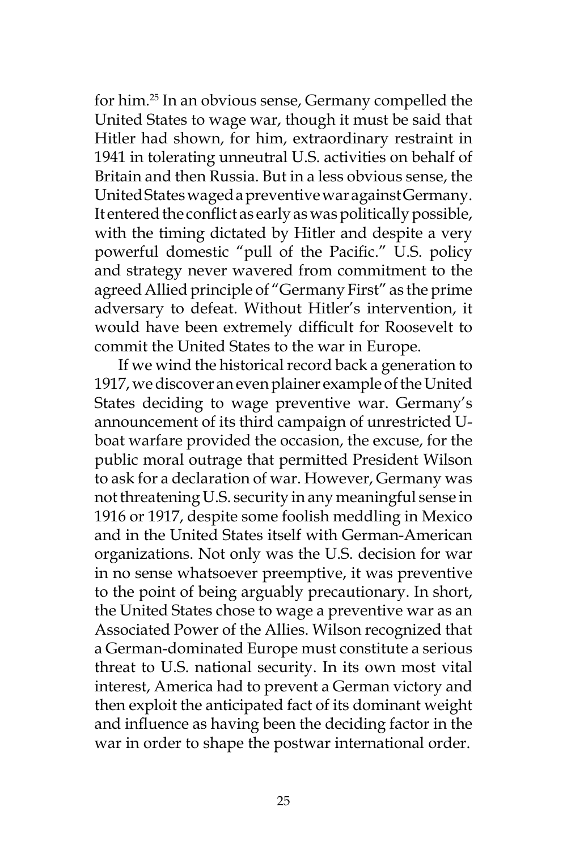for him.25 In an obvious sense, Germany compelled the United States to wage war, though it must be said that Hitler had shown, for him, extraordinary restraint in 1941 in tolerating unneutral U.S. activities on behalf of Britain and then Russia. But in a less obvious sense, the United States waged a preventive war against Germany. It entered the conflict as early as was politically possible, with the timing dictated by Hitler and despite a very powerful domestic "pull of the Pacific." U.S. policy and strategy never wavered from commitment to the agreed Allied principle of "Germany First" as the prime adversary to defeat. Without Hitler's intervention, it would have been extremely difficult for Roosevelt to commit the United States to the war in Europe.

If we wind the historical record back a generation to 1917, we discover an even plainer example of the United States deciding to wage preventive war. Germany's announcement of its third campaign of unrestricted Uboat warfare provided the occasion, the excuse, for the public moral outrage that permitted President Wilson to ask for a declaration of war. However, Germany was not threatening U.S. security in any meaningful sense in 1916 or 1917, despite some foolish meddling in Mexico and in the United States itself with German-American organizations. Not only was the U.S. decision for war in no sense whatsoever preemptive, it was preventive to the point of being arguably precautionary. In short, the United States chose to wage a preventive war as an Associated Power of the Allies. Wilson recognized that a German-dominated Europe must constitute a serious threat to U.S. national security. In its own most vital interest, America had to prevent a German victory and then exploit the anticipated fact of its dominant weight and influence as having been the deciding factor in the war in order to shape the postwar international order.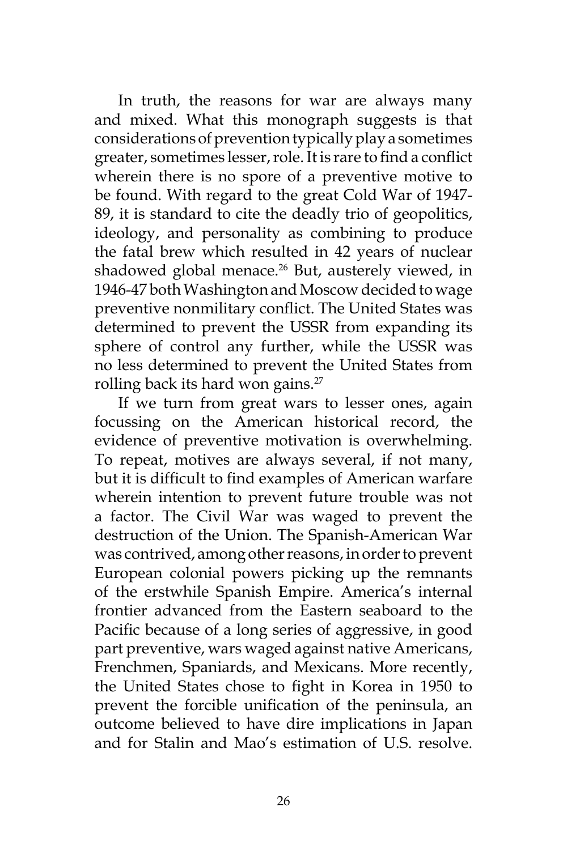In truth, the reasons for war are always many and mixed. What this monograph suggests is that considerations of prevention typically play a sometimes greater, sometimes lesser, role. It is rare to find a conflict wherein there is no spore of a preventive motive to be found. With regard to the great Cold War of 1947- 89, it is standard to cite the deadly trio of geopolitics, ideology, and personality as combining to produce the fatal brew which resulted in 42 years of nuclear shadowed global menace.<sup>26</sup> But, austerely viewed, in 1946-47 both Washington and Moscow decided to wage preventive nonmilitary conflict. The United States was determined to prevent the USSR from expanding its sphere of control any further, while the USSR was no less determined to prevent the United States from rolling back its hard won gains.<sup>27</sup>

If we turn from great wars to lesser ones, again focussing on the American historical record, the evidence of preventive motivation is overwhelming. To repeat, motives are always several, if not many, but it is difficult to find examples of American warfare wherein intention to prevent future trouble was not a factor. The Civil War was waged to prevent the destruction of the Union. The Spanish-American War was contrived, among other reasons, in order to prevent European colonial powers picking up the remnants of the erstwhile Spanish Empire. America's internal frontier advanced from the Eastern seaboard to the Pacific because of a long series of aggressive, in good part preventive, wars waged against native Americans, Frenchmen, Spaniards, and Mexicans. More recently, the United States chose to fight in Korea in 1950 to prevent the forcible unification of the peninsula, an outcome believed to have dire implications in Japan and for Stalin and Mao's estimation of U.S. resolve.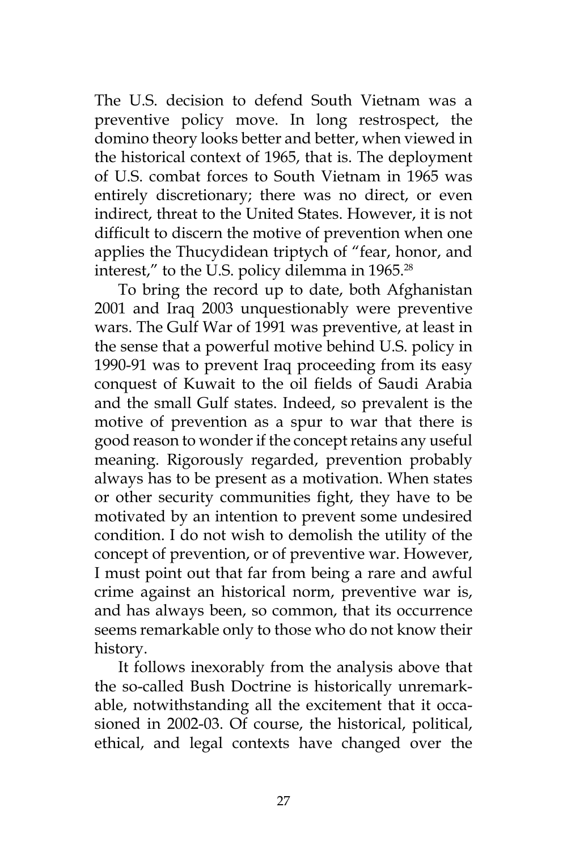The U.S. decision to defend South Vietnam was a preventive policy move. In long restrospect, the domino theory looks better and better, when viewed in the historical context of 1965, that is. The deployment of U.S. combat forces to South Vietnam in 1965 was entirely discretionary; there was no direct, or even indirect, threat to the United States. However, it is not difficult to discern the motive of prevention when one applies the Thucydidean triptych of "fear, honor, and interest," to the U.S. policy dilemma in 1965.<sup>28</sup>

To bring the record up to date, both Afghanistan 2001 and Iraq 2003 unquestionably were preventive wars. The Gulf War of 1991 was preventive, at least in the sense that a powerful motive behind U.S. policy in 1990-91 was to prevent Iraq proceeding from its easy conquest of Kuwait to the oil fields of Saudi Arabia and the small Gulf states. Indeed, so prevalent is the motive of prevention as a spur to war that there is good reason to wonder if the concept retains any useful meaning. Rigorously regarded, prevention probably always has to be present as a motivation. When states or other security communities fight, they have to be motivated by an intention to prevent some undesired condition. I do not wish to demolish the utility of the concept of prevention, or of preventive war. However, I must point out that far from being a rare and awful crime against an historical norm, preventive war is, and has always been, so common, that its occurrence seems remarkable only to those who do not know their history.

It follows inexorably from the analysis above that the so-called Bush Doctrine is historically unremarkable, notwithstanding all the excitement that it occasioned in 2002-03. Of course, the historical, political, ethical, and legal contexts have changed over the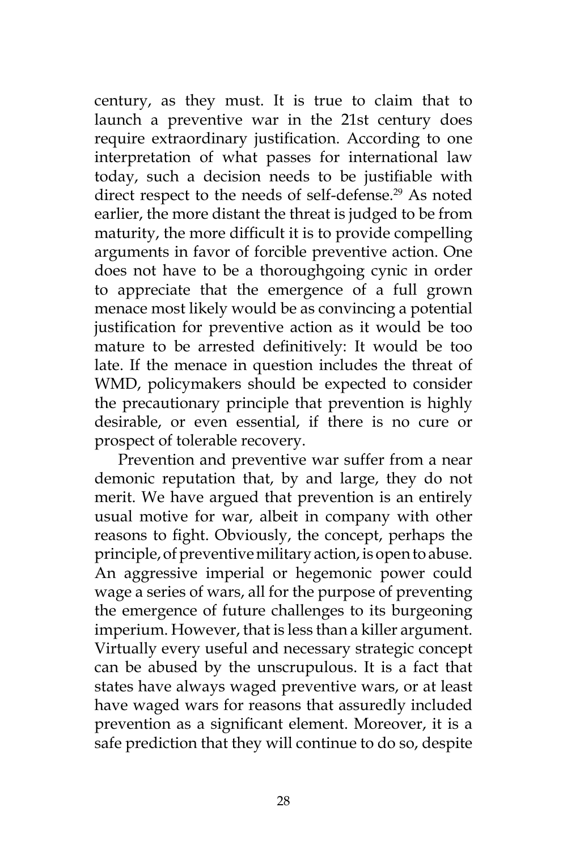century, as they must. It is true to claim that to launch a preventive war in the 21st century does require extraordinary justification. According to one interpretation of what passes for international law today, such a decision needs to be justifiable with direct respect to the needs of self-defense.<sup>29</sup> As noted earlier, the more distant the threat is judged to be from maturity, the more difficult it is to provide compelling arguments in favor of forcible preventive action. One does not have to be a thoroughgoing cynic in order to appreciate that the emergence of a full grown menace most likely would be as convincing a potential justification for preventive action as it would be too mature to be arrested definitively: It would be too late. If the menace in question includes the threat of WMD, policymakers should be expected to consider the precautionary principle that prevention is highly desirable, or even essential, if there is no cure or prospect of tolerable recovery.

Prevention and preventive war suffer from a near demonic reputation that, by and large, they do not merit. We have argued that prevention is an entirely usual motive for war, albeit in company with other reasons to fight. Obviously, the concept, perhaps the principle, of preventive military action, is open to abuse. An aggressive imperial or hegemonic power could wage a series of wars, all for the purpose of preventing the emergence of future challenges to its burgeoning imperium. However, that is less than a killer argument. Virtually every useful and necessary strategic concept can be abused by the unscrupulous. It is a fact that states have always waged preventive wars, or at least have waged wars for reasons that assuredly included prevention as a significant element. Moreover, it is a safe prediction that they will continue to do so, despite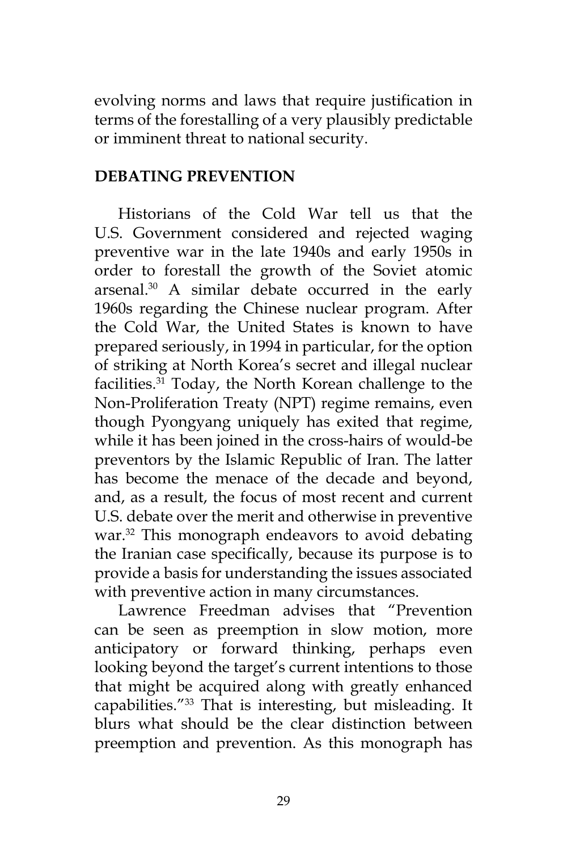evolving norms and laws that require justification in terms of the forestalling of a very plausibly predictable or imminent threat to national security.

# **DEBATING PREVENTION**

Historians of the Cold War tell us that the U.S. Government considered and rejected waging preventive war in the late 1940s and early 1950s in order to forestall the growth of the Soviet atomic arsenal.30 A similar debate occurred in the early 1960s regarding the Chinese nuclear program. After the Cold War, the United States is known to have prepared seriously, in 1994 in particular, for the option of striking at North Korea's secret and illegal nuclear facilities.31 Today, the North Korean challenge to the Non-Proliferation Treaty (NPT) regime remains, even though Pyongyang uniquely has exited that regime, while it has been joined in the cross-hairs of would-be preventors by the Islamic Republic of Iran. The latter has become the menace of the decade and beyond, and, as a result, the focus of most recent and current U.S. debate over the merit and otherwise in preventive war.<sup>32</sup> This monograph endeavors to avoid debating the Iranian case specifically, because its purpose is to provide a basis for understanding the issues associated with preventive action in many circumstances.

Lawrence Freedman advises that "Prevention can be seen as preemption in slow motion, more anticipatory or forward thinking, perhaps even looking beyond the target's current intentions to those that might be acquired along with greatly enhanced capabilities."33 That is interesting, but misleading. It blurs what should be the clear distinction between preemption and prevention. As this monograph has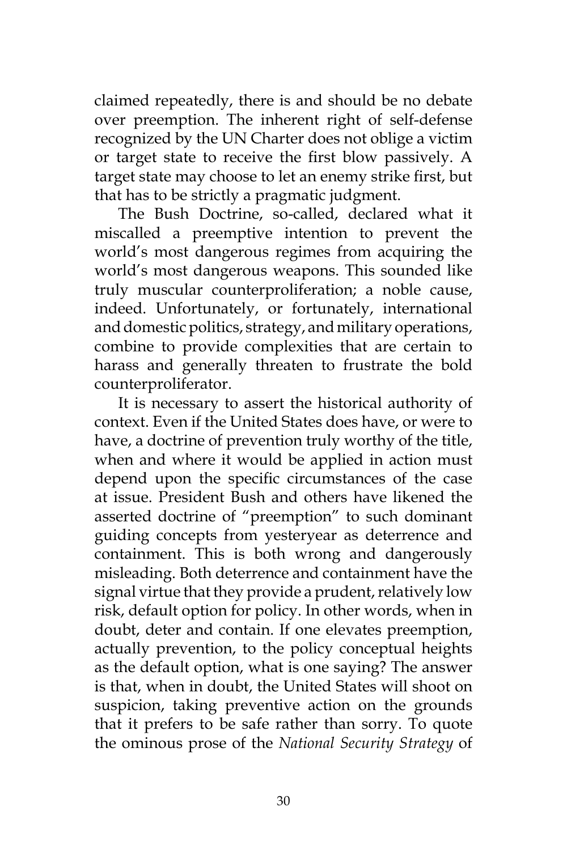claimed repeatedly, there is and should be no debate over preemption. The inherent right of self-defense recognized by the UN Charter does not oblige a victim or target state to receive the first blow passively. A target state may choose to let an enemy strike first, but that has to be strictly a pragmatic judgment.

The Bush Doctrine, so-called, declared what it miscalled a preemptive intention to prevent the world's most dangerous regimes from acquiring the world's most dangerous weapons. This sounded like truly muscular counterproliferation; a noble cause, indeed. Unfortunately, or fortunately, international and domestic politics, strategy, and military operations, combine to provide complexities that are certain to harass and generally threaten to frustrate the bold counterproliferator.

It is necessary to assert the historical authority of context. Even if the United States does have, or were to have, a doctrine of prevention truly worthy of the title, when and where it would be applied in action must depend upon the specific circumstances of the case at issue. President Bush and others have likened the asserted doctrine of "preemption" to such dominant guiding concepts from yesteryear as deterrence and containment. This is both wrong and dangerously misleading. Both deterrence and containment have the signal virtue that they provide a prudent, relatively low risk, default option for policy. In other words, when in doubt, deter and contain. If one elevates preemption, actually prevention, to the policy conceptual heights as the default option, what is one saying? The answer is that, when in doubt, the United States will shoot on suspicion, taking preventive action on the grounds that it prefers to be safe rather than sorry. To quote the ominous prose of the *National Security Strategy* of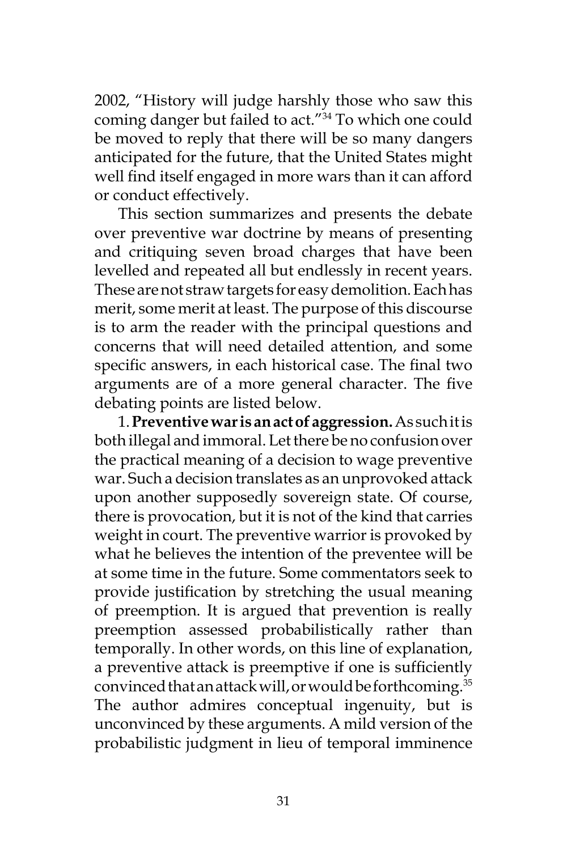2002, "History will judge harshly those who saw this coming danger but failed to act."34 To which one could be moved to reply that there will be so many dangers anticipated for the future, that the United States might well find itself engaged in more wars than it can afford or conduct effectively.

This section summarizes and presents the debate over preventive war doctrine by means of presenting and critiquing seven broad charges that have been levelled and repeated all but endlessly in recent years. These are not straw targets for easy demolition. Each has merit, some merit at least. The purpose of this discourse is to arm the reader with the principal questions and concerns that will need detailed attention, and some specific answers, in each historical case. The final two arguments are of a more general character. The five debating points are listed below.

1. **Preventive war is an act of aggression.** As such it is both illegal and immoral. Let there be no confusion over the practical meaning of a decision to wage preventive war. Such a decision translates as an unprovoked attack upon another supposedly sovereign state. Of course, there is provocation, but it is not of the kind that carries weight in court. The preventive warrior is provoked by what he believes the intention of the preventee will be at some time in the future. Some commentators seek to provide justification by stretching the usual meaning of preemption. It is argued that prevention is really preemption assessed probabilistically rather than temporally. In other words, on this line of explanation, a preventive attack is preemptive if one is sufficiently convinced that an attack will, or would be forthcoming.<sup>35</sup> The author admires conceptual ingenuity, but is unconvinced by these arguments. A mild version of the probabilistic judgment in lieu of temporal imminence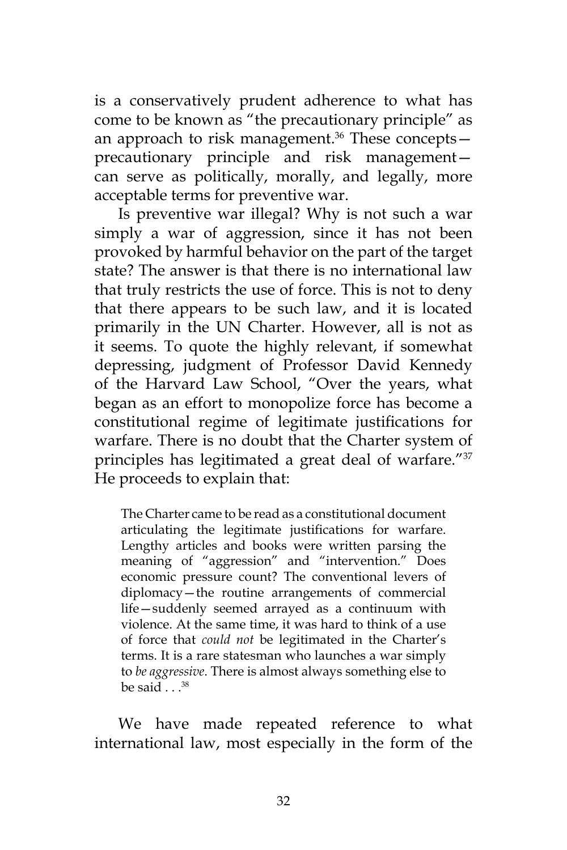is a conservatively prudent adherence to what has come to be known as "the precautionary principle" as an approach to risk management. $36$  These concepts precautionary principle and risk management can serve as politically, morally, and legally, more acceptable terms for preventive war.

Is preventive war illegal? Why is not such a war simply a war of aggression, since it has not been provoked by harmful behavior on the part of the target state? The answer is that there is no international law that truly restricts the use of force. This is not to deny that there appears to be such law, and it is located primarily in the UN Charter. However, all is not as it seems. To quote the highly relevant, if somewhat depressing, judgment of Professor David Kennedy of the Harvard Law School, "Over the years, what began as an effort to monopolize force has become a constitutional regime of legitimate justifications for warfare. There is no doubt that the Charter system of principles has legitimated a great deal of warfare."37 He proceeds to explain that:

The Charter came to be read as a constitutional document articulating the legitimate justifications for warfare. Lengthy articles and books were written parsing the meaning of "aggression" and "intervention." Does economic pressure count? The conventional levers of diplomacy—the routine arrangements of commercial life—suddenly seemed arrayed as a continuum with violence. At the same time, it was hard to think of a use of force that *could not* be legitimated in the Charter's terms. It is a rare statesman who launches a war simply to *be aggressive*. There is almost always something else to be said  $\ldots$ <sup>38</sup>

We have made repeated reference to what international law, most especially in the form of the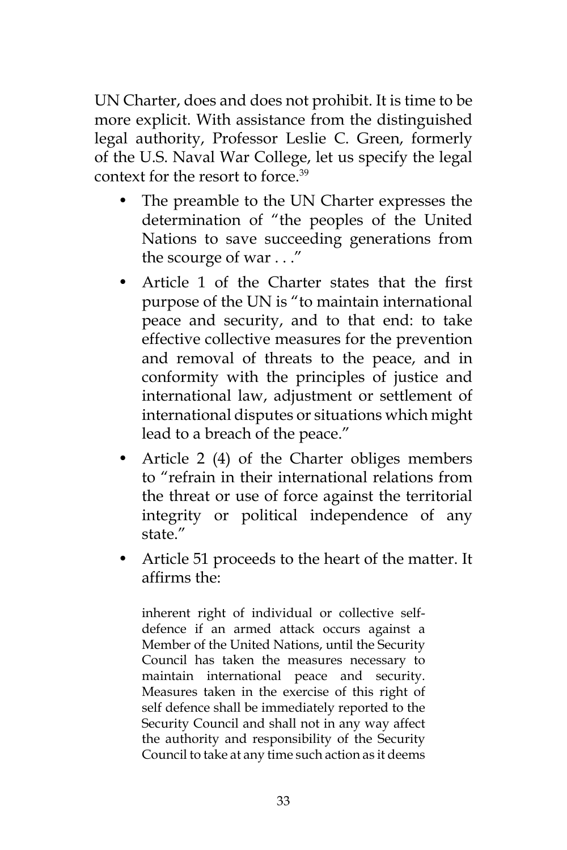UN Charter, does and does not prohibit. It is time to be more explicit. With assistance from the distinguished legal authority, Professor Leslie C. Green, formerly of the U.S. Naval War College, let us specify the legal context for the resort to force.39

- The preamble to the UN Charter expresses the determination of "the peoples of the United Nations to save succeeding generations from the scourge of war . . ."
- Article 1 of the Charter states that the first purpose of the UN is "to maintain international peace and security, and to that end: to take effective collective measures for the prevention and removal of threats to the peace, and in conformity with the principles of justice and international law, adjustment or settlement of international disputes or situations which might lead to a breach of the peace."
- Article 2 (4) of the Charter obliges members to "refrain in their international relations from the threat or use of force against the territorial integrity or political independence of any state."
- Article 51 proceeds to the heart of the matter. It affirms the:

inherent right of individual or collective selfdefence if an armed attack occurs against a Member of the United Nations, until the Security Council has taken the measures necessary to maintain international peace and security. Measures taken in the exercise of this right of self defence shall be immediately reported to the Security Council and shall not in any way affect the authority and responsibility of the Security Council to take at any time such action as it deems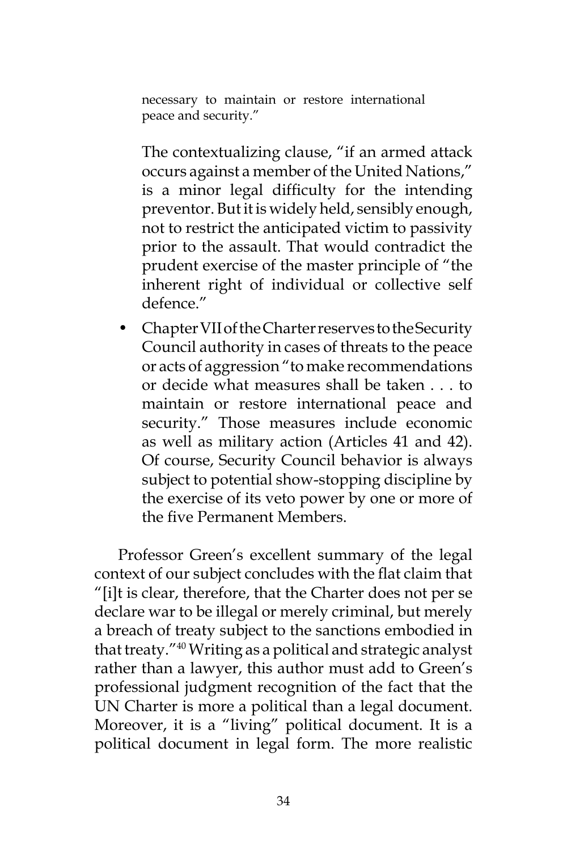necessary to maintain or restore international peace and security."

The contextualizing clause, "if an armed attack occurs against a member of the United Nations," is a minor legal difficulty for the intending preventor. But it is widely held, sensibly enough, not to restrict the anticipated victim to passivity prior to the assault. That would contradict the prudent exercise of the master principle of "the inherent right of individual or collective self defence."

• Chapter VII of the Charter reserves to the Security Council authority in cases of threats to the peace or acts of aggression "to make recommendations or decide what measures shall be taken . . . to maintain or restore international peace and security." Those measures include economic as well as military action (Articles 41 and 42). Of course, Security Council behavior is always subject to potential show-stopping discipline by the exercise of its veto power by one or more of the five Permanent Members.

Professor Green's excellent summary of the legal context of our subject concludes with the flat claim that "[i]t is clear, therefore, that the Charter does not per se declare war to be illegal or merely criminal, but merely a breach of treaty subject to the sanctions embodied in that treaty."40 Writing as a political and strategic analyst rather than a lawyer, this author must add to Green's professional judgment recognition of the fact that the UN Charter is more a political than a legal document. Moreover, it is a "living" political document. It is a political document in legal form. The more realistic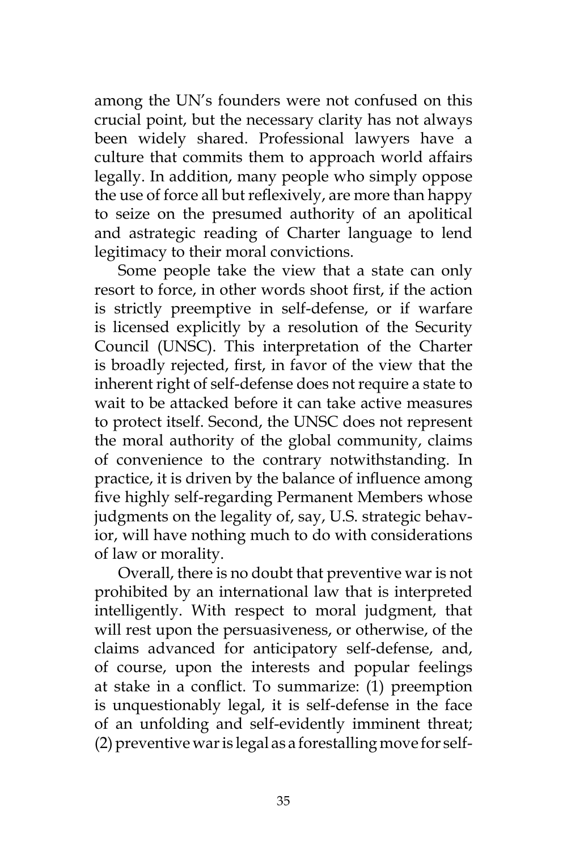among the UN's founders were not confused on this crucial point, but the necessary clarity has not always been widely shared. Professional lawyers have a culture that commits them to approach world affairs legally. In addition, many people who simply oppose the use of force all but reflexively, are more than happy to seize on the presumed authority of an apolitical and astrategic reading of Charter language to lend legitimacy to their moral convictions.

Some people take the view that a state can only resort to force, in other words shoot first, if the action is strictly preemptive in self-defense, or if warfare is licensed explicitly by a resolution of the Security Council (UNSC). This interpretation of the Charter is broadly rejected, first, in favor of the view that the inherent right of self-defense does not require a state to wait to be attacked before it can take active measures to protect itself. Second, the UNSC does not represent the moral authority of the global community, claims of convenience to the contrary notwithstanding. In practice, it is driven by the balance of influence among five highly self-regarding Permanent Members whose judgments on the legality of, say, U.S. strategic behavior, will have nothing much to do with considerations of law or morality.

Overall, there is no doubt that preventive war is not prohibited by an international law that is interpreted intelligently. With respect to moral judgment, that will rest upon the persuasiveness, or otherwise, of the claims advanced for anticipatory self-defense, and, of course, upon the interests and popular feelings at stake in a conflict. To summarize: (1) preemption is unquestionably legal, it is self-defense in the face of an unfolding and self-evidently imminent threat; (2) preventive war is legal as a forestalling move for self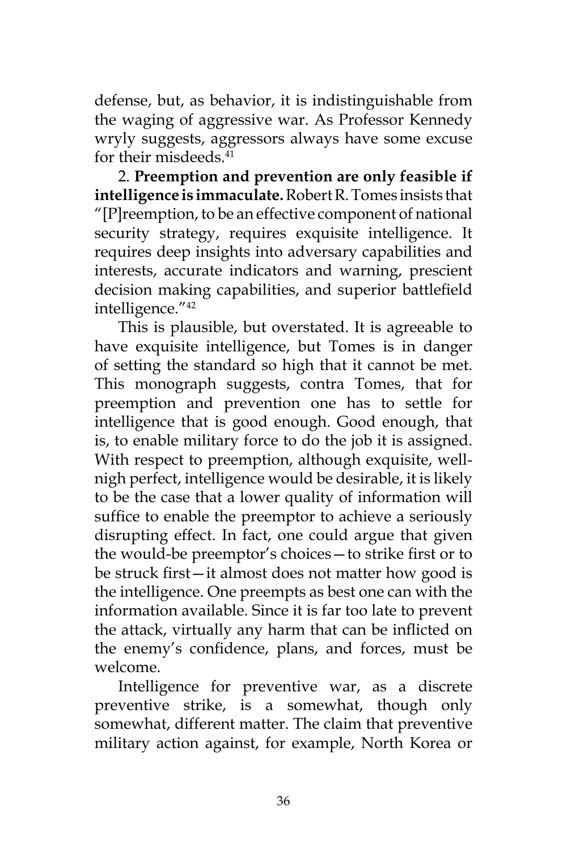defense, but, as behavior, it is indistinguishable from the waging of aggressive war. As Professor Kennedy wryly suggests, aggressors always have some excuse for their misdeeds.<sup>41</sup>

2. **Preemption and prevention are only feasible if intelligence is immaculate.** Robert R. Tomes insists that "[P]reemption, to be an effective component of national security strategy, requires exquisite intelligence. It requires deep insights into adversary capabilities and interests, accurate indicators and warning, prescient decision making capabilities, and superior battlefield intelligence."42

This is plausible, but overstated. It is agreeable to have exquisite intelligence, but Tomes is in danger of setting the standard so high that it cannot be met. This monograph suggests, contra Tomes, that for preemption and prevention one has to settle for intelligence that is good enough. Good enough, that is, to enable military force to do the job it is assigned. With respect to preemption, although exquisite, wellnigh perfect, intelligence would be desirable, it is likely to be the case that a lower quality of information will suffice to enable the preemptor to achieve a seriously disrupting effect. In fact, one could argue that given the would-be preemptor's choices—to strike first or to be struck first—it almost does not matter how good is the intelligence. One preempts as best one can with the information available. Since it is far too late to prevent the attack, virtually any harm that can be inflicted on the enemy's confidence, plans, and forces, must be welcome.

Intelligence for preventive war, as a discrete preventive strike, is a somewhat, though only somewhat, different matter. The claim that preventive military action against, for example, North Korea or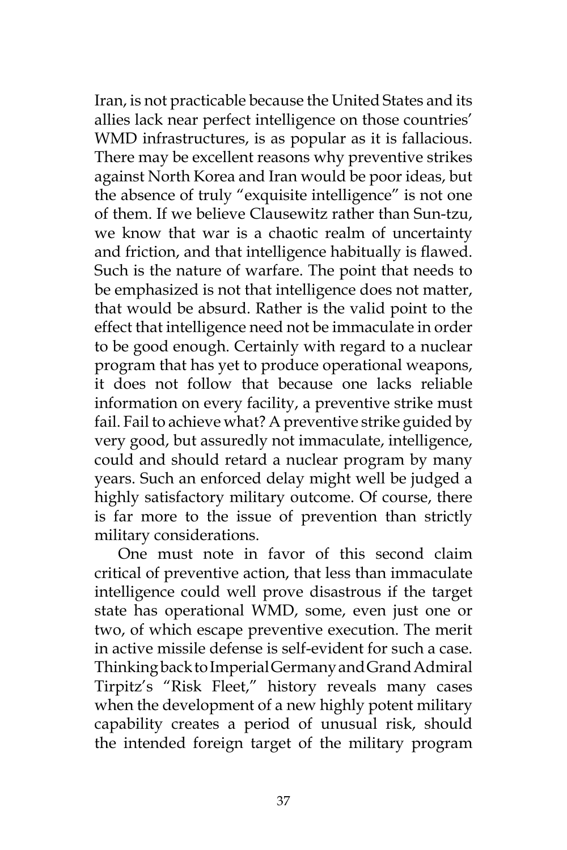Iran, is not practicable because the United States and its allies lack near perfect intelligence on those countries' WMD infrastructures, is as popular as it is fallacious. There may be excellent reasons why preventive strikes against North Korea and Iran would be poor ideas, but the absence of truly "exquisite intelligence" is not one of them. If we believe Clausewitz rather than Sun-tzu, we know that war is a chaotic realm of uncertainty and friction, and that intelligence habitually is flawed. Such is the nature of warfare. The point that needs to be emphasized is not that intelligence does not matter, that would be absurd. Rather is the valid point to the effect that intelligence need not be immaculate in order to be good enough. Certainly with regard to a nuclear program that has yet to produce operational weapons, it does not follow that because one lacks reliable information on every facility, a preventive strike must fail. Fail to achieve what? A preventive strike guided by very good, but assuredly not immaculate, intelligence, could and should retard a nuclear program by many years. Such an enforced delay might well be judged a highly satisfactory military outcome. Of course, there is far more to the issue of prevention than strictly military considerations.

One must note in favor of this second claim critical of preventive action, that less than immaculate intelligence could well prove disastrous if the target state has operational WMD, some, even just one or two, of which escape preventive execution. The merit in active missile defense is self-evident for such a case. Thinking back to Imperial Germany and Grand Admiral Tirpitz's "Risk Fleet," history reveals many cases when the development of a new highly potent military capability creates a period of unusual risk, should the intended foreign target of the military program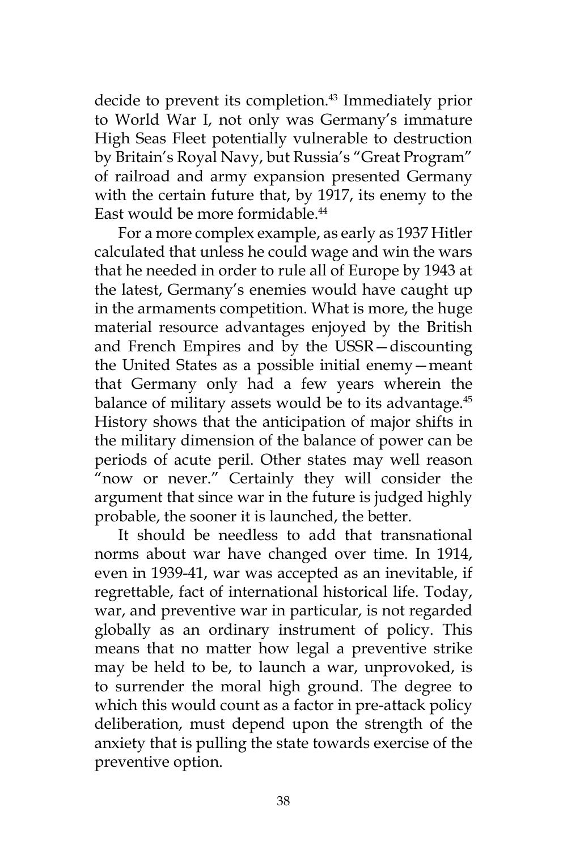decide to prevent its completion.<sup>43</sup> Immediately prior to World War I, not only was Germany's immature High Seas Fleet potentially vulnerable to destruction by Britain's Royal Navy, but Russia's "Great Program" of railroad and army expansion presented Germany with the certain future that, by 1917, its enemy to the East would be more formidable.<sup>44</sup>

For a more complex example, as early as 1937 Hitler calculated that unless he could wage and win the wars that he needed in order to rule all of Europe by 1943 at the latest, Germany's enemies would have caught up in the armaments competition. What is more, the huge material resource advantages enjoyed by the British and French Empires and by the USSR—discounting the United States as a possible initial enemy—meant that Germany only had a few years wherein the balance of military assets would be to its advantage.<sup>45</sup> History shows that the anticipation of major shifts in the military dimension of the balance of power can be periods of acute peril. Other states may well reason "now or never." Certainly they will consider the argument that since war in the future is judged highly probable, the sooner it is launched, the better.

It should be needless to add that transnational norms about war have changed over time. In 1914, even in 1939-41, war was accepted as an inevitable, if regrettable, fact of international historical life. Today, war, and preventive war in particular, is not regarded globally as an ordinary instrument of policy. This means that no matter how legal a preventive strike may be held to be, to launch a war, unprovoked, is to surrender the moral high ground. The degree to which this would count as a factor in pre-attack policy deliberation, must depend upon the strength of the anxiety that is pulling the state towards exercise of the preventive option.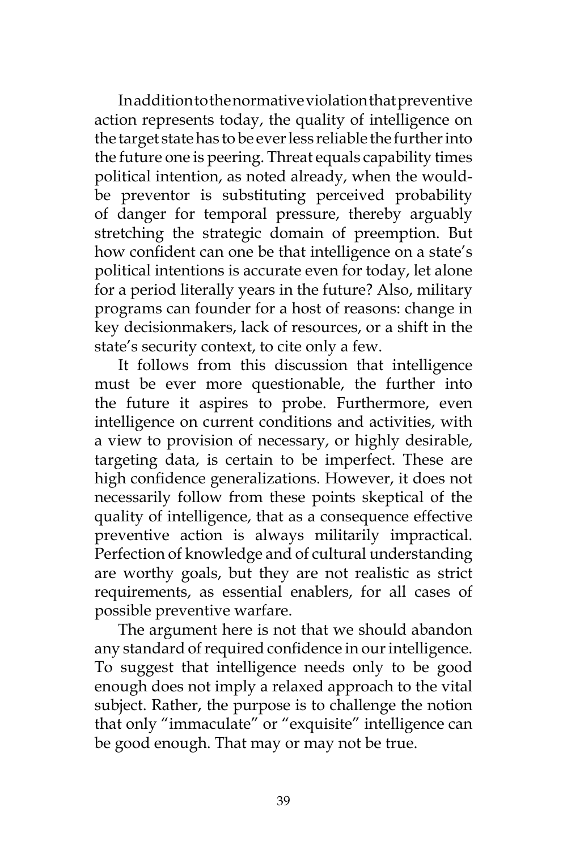In addition to the normative violation that preventive action represents today, the quality of intelligence on the target state has to be ever less reliable the further into the future one is peering. Threat equals capability times political intention, as noted already, when the wouldbe preventor is substituting perceived probability of danger for temporal pressure, thereby arguably stretching the strategic domain of preemption. But how confident can one be that intelligence on a state's political intentions is accurate even for today, let alone for a period literally years in the future? Also, military programs can founder for a host of reasons: change in key decisionmakers, lack of resources, or a shift in the state's security context, to cite only a few.

It follows from this discussion that intelligence must be ever more questionable, the further into the future it aspires to probe. Furthermore, even intelligence on current conditions and activities, with a view to provision of necessary, or highly desirable, targeting data, is certain to be imperfect. These are high confidence generalizations. However, it does not necessarily follow from these points skeptical of the quality of intelligence, that as a consequence effective preventive action is always militarily impractical. Perfection of knowledge and of cultural understanding are worthy goals, but they are not realistic as strict requirements, as essential enablers, for all cases of possible preventive warfare.

The argument here is not that we should abandon any standard of required confidence in our intelligence. To suggest that intelligence needs only to be good enough does not imply a relaxed approach to the vital subject. Rather, the purpose is to challenge the notion that only "immaculate" or "exquisite" intelligence can be good enough. That may or may not be true.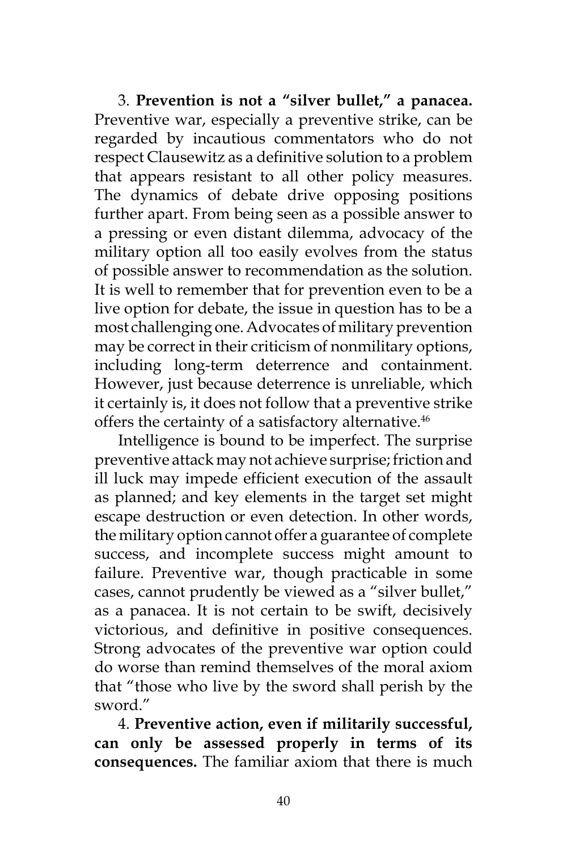3. **Prevention is not a "silver bullet," a panacea.** Preventive war, especially a preventive strike, can be regarded by incautious commentators who do not respect Clausewitz as a definitive solution to a problem that appears resistant to all other policy measures. The dynamics of debate drive opposing positions further apart. From being seen as a possible answer to a pressing or even distant dilemma, advocacy of the military option all too easily evolves from the status of possible answer to recommendation as the solution. It is well to remember that for prevention even to be a live option for debate, the issue in question has to be a most challenging one. Advocates of military prevention may be correct in their criticism of nonmilitary options, including long-term deterrence and containment. However, just because deterrence is unreliable, which it certainly is, it does not follow that a preventive strike offers the certainty of a satisfactory alternative.<sup>46</sup>

Intelligence is bound to be imperfect. The surprise preventive attack may not achieve surprise; friction and ill luck may impede efficient execution of the assault as planned; and key elements in the target set might escape destruction or even detection. In other words, the military option cannot offer a guarantee of complete success, and incomplete success might amount to failure. Preventive war, though practicable in some cases, cannot prudently be viewed as a "silver bullet," as a panacea. It is not certain to be swift, decisively victorious, and definitive in positive consequences. Strong advocates of the preventive war option could do worse than remind themselves of the moral axiom that "those who live by the sword shall perish by the sword."

4. **Preventive action, even if militarily successful, can only be assessed properly in terms of its consequences.** The familiar axiom that there is much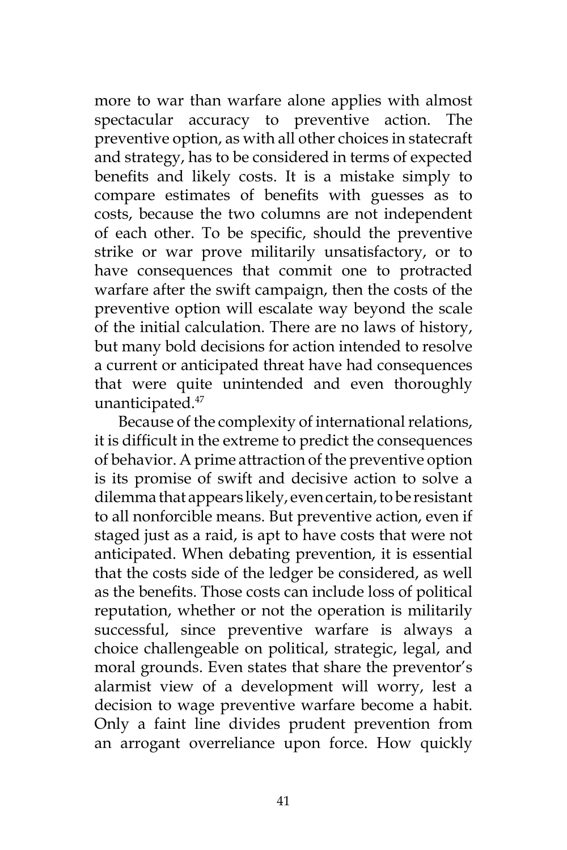more to war than warfare alone applies with almost spectacular accuracy to preventive action. The preventive option, as with all other choices in statecraft and strategy, has to be considered in terms of expected benefits and likely costs. It is a mistake simply to compare estimates of benefits with guesses as to costs, because the two columns are not independent of each other. To be specific, should the preventive strike or war prove militarily unsatisfactory, or to have consequences that commit one to protracted warfare after the swift campaign, then the costs of the preventive option will escalate way beyond the scale of the initial calculation. There are no laws of history, but many bold decisions for action intended to resolve a current or anticipated threat have had consequences that were quite unintended and even thoroughly unanticipated.<sup>47</sup>

Because of the complexity of international relations, it is difficult in the extreme to predict the consequences of behavior. A prime attraction of the preventive option is its promise of swift and decisive action to solve a dilemma that appears likely, even certain, to be resistant to all nonforcible means. But preventive action, even if staged just as a raid, is apt to have costs that were not anticipated. When debating prevention, it is essential that the costs side of the ledger be considered, as well as the benefits. Those costs can include loss of political reputation, whether or not the operation is militarily successful, since preventive warfare is always a choice challengeable on political, strategic, legal, and moral grounds. Even states that share the preventor's alarmist view of a development will worry, lest a decision to wage preventive warfare become a habit. Only a faint line divides prudent prevention from an arrogant overreliance upon force. How quickly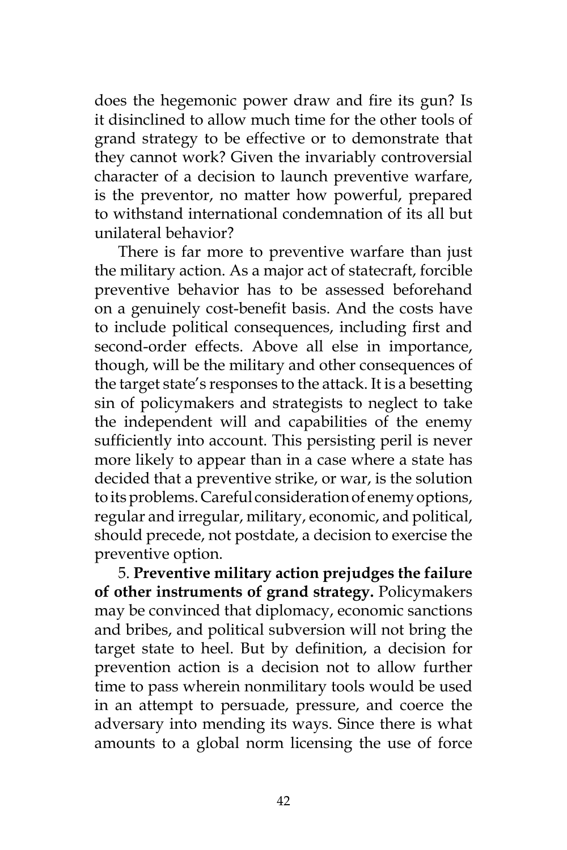does the hegemonic power draw and fire its gun? Is it disinclined to allow much time for the other tools of grand strategy to be effective or to demonstrate that they cannot work? Given the invariably controversial character of a decision to launch preventive warfare, is the preventor, no matter how powerful, prepared to withstand international condemnation of its all but unilateral behavior?

There is far more to preventive warfare than just the military action. As a major act of statecraft, forcible preventive behavior has to be assessed beforehand on a genuinely cost-benefit basis. And the costs have to include political consequences, including first and second-order effects. Above all else in importance, though, will be the military and other consequences of the target state's responses to the attack. It is a besetting sin of policymakers and strategists to neglect to take the independent will and capabilities of the enemy sufficiently into account. This persisting peril is never more likely to appear than in a case where a state has decided that a preventive strike, or war, is the solution to its problems. Careful consideration of enemy options, regular and irregular, military, economic, and political, should precede, not postdate, a decision to exercise the preventive option.

5. **Preventive military action prejudges the failure of other instruments of grand strategy.** Policymakers may be convinced that diplomacy, economic sanctions and bribes, and political subversion will not bring the target state to heel. But by definition, a decision for prevention action is a decision not to allow further time to pass wherein nonmilitary tools would be used in an attempt to persuade, pressure, and coerce the adversary into mending its ways. Since there is what amounts to a global norm licensing the use of force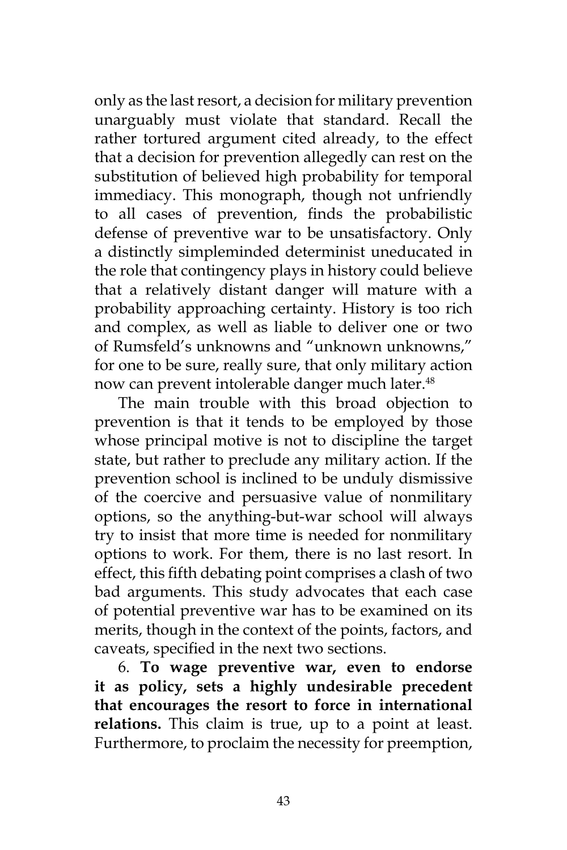only as the last resort, a decision for military prevention unarguably must violate that standard. Recall the rather tortured argument cited already, to the effect that a decision for prevention allegedly can rest on the substitution of believed high probability for temporal immediacy. This monograph, though not unfriendly to all cases of prevention, finds the probabilistic defense of preventive war to be unsatisfactory. Only a distinctly simpleminded determinist uneducated in the role that contingency plays in history could believe that a relatively distant danger will mature with a probability approaching certainty. History is too rich and complex, as well as liable to deliver one or two of Rumsfeld's unknowns and "unknown unknowns," for one to be sure, really sure, that only military action now can prevent intolerable danger much later.<sup>48</sup>

The main trouble with this broad objection to prevention is that it tends to be employed by those whose principal motive is not to discipline the target state, but rather to preclude any military action. If the prevention school is inclined to be unduly dismissive of the coercive and persuasive value of nonmilitary options, so the anything-but-war school will always try to insist that more time is needed for nonmilitary options to work. For them, there is no last resort. In effect, this fifth debating point comprises a clash of two bad arguments. This study advocates that each case of potential preventive war has to be examined on its merits, though in the context of the points, factors, and caveats, specified in the next two sections.

6. **To wage preventive war, even to endorse it as policy, sets a highly undesirable precedent that encourages the resort to force in international relations.** This claim is true, up to a point at least. Furthermore, to proclaim the necessity for preemption,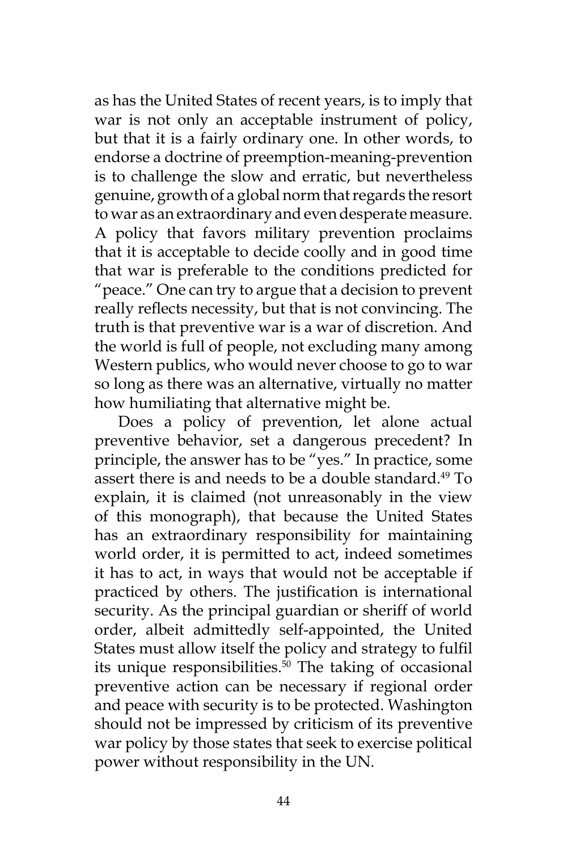as has the United States of recent years, is to imply that war is not only an acceptable instrument of policy, but that it is a fairly ordinary one. In other words, to endorse a doctrine of preemption-meaning-prevention is to challenge the slow and erratic, but nevertheless genuine, growth of a global norm that regards the resort to war as an extraordinary and even desperate measure. A policy that favors military prevention proclaims that it is acceptable to decide coolly and in good time that war is preferable to the conditions predicted for "peace." One can try to argue that a decision to prevent really reflects necessity, but that is not convincing. The truth is that preventive war is a war of discretion. And the world is full of people, not excluding many among Western publics, who would never choose to go to war so long as there was an alternative, virtually no matter how humiliating that alternative might be.

Does a policy of prevention, let alone actual preventive behavior, set a dangerous precedent? In principle, the answer has to be "yes." In practice, some assert there is and needs to be a double standard.<sup>49</sup> To explain, it is claimed (not unreasonably in the view of this monograph), that because the United States has an extraordinary responsibility for maintaining world order, it is permitted to act, indeed sometimes it has to act, in ways that would not be acceptable if practiced by others. The justification is international security. As the principal guardian or sheriff of world order, albeit admittedly self-appointed, the United States must allow itself the policy and strategy to fulfil its unique responsibilities.<sup>50</sup> The taking of occasional preventive action can be necessary if regional order and peace with security is to be protected. Washington should not be impressed by criticism of its preventive war policy by those states that seek to exercise political power without responsibility in the UN.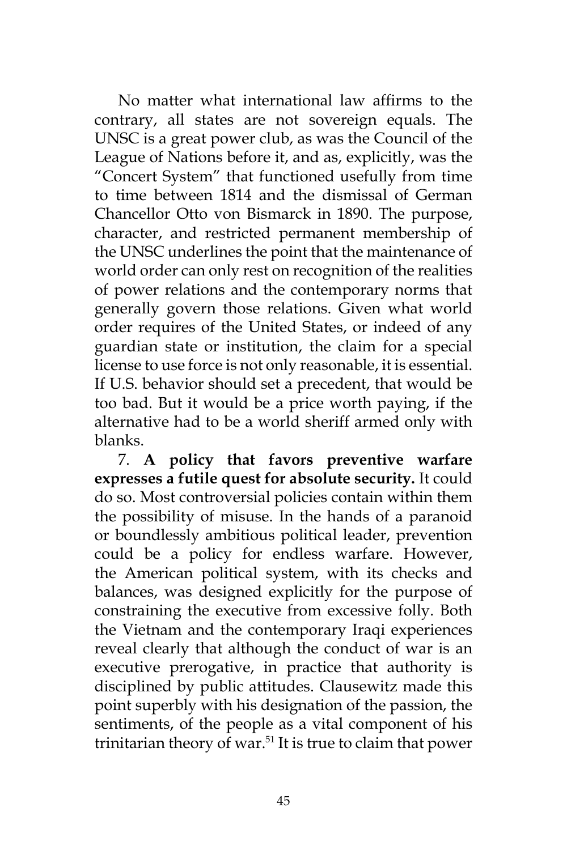No matter what international law affirms to the contrary, all states are not sovereign equals. The UNSC is a great power club, as was the Council of the League of Nations before it, and as, explicitly, was the "Concert System" that functioned usefully from time to time between 1814 and the dismissal of German Chancellor Otto von Bismarck in 1890. The purpose, character, and restricted permanent membership of the UNSC underlines the point that the maintenance of world order can only rest on recognition of the realities of power relations and the contemporary norms that generally govern those relations. Given what world order requires of the United States, or indeed of any guardian state or institution, the claim for a special license to use force is not only reasonable, it is essential. If U.S. behavior should set a precedent, that would be too bad. But it would be a price worth paying, if the alternative had to be a world sheriff armed only with blanks.

7. **A policy that favors preventive warfare expresses a futile quest for absolute security.** It could do so. Most controversial policies contain within them the possibility of misuse. In the hands of a paranoid or boundlessly ambitious political leader, prevention could be a policy for endless warfare. However, the American political system, with its checks and balances, was designed explicitly for the purpose of constraining the executive from excessive folly. Both the Vietnam and the contemporary Iraqi experiences reveal clearly that although the conduct of war is an executive prerogative, in practice that authority is disciplined by public attitudes. Clausewitz made this point superbly with his designation of the passion, the sentiments, of the people as a vital component of his trinitarian theory of war.<sup>51</sup> It is true to claim that power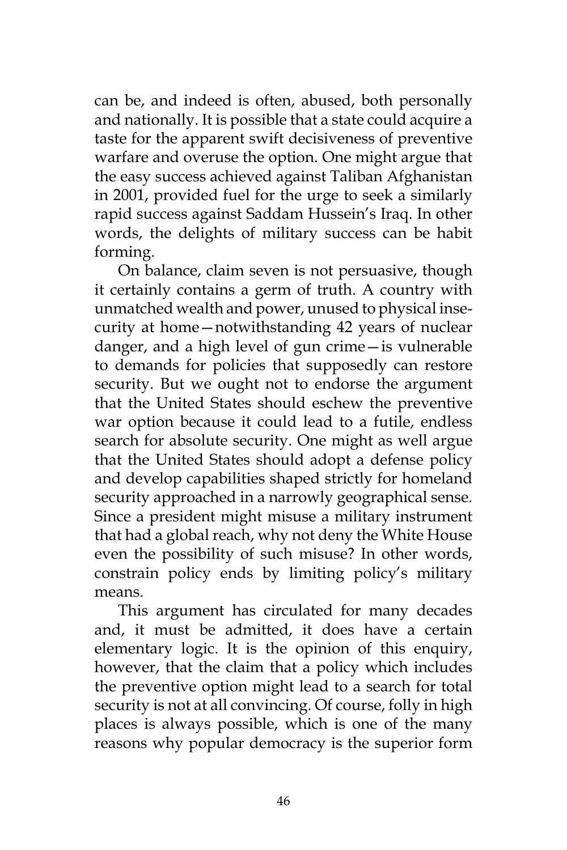can be, and indeed is often, abused, both personally and nationally. It is possible that a state could acquire a taste for the apparent swift decisiveness of preventive warfare and overuse the option. One might argue that the easy success achieved against Taliban Afghanistan in 2001, provided fuel for the urge to seek a similarly rapid success against Saddam Hussein's Iraq. In other words, the delights of military success can be habit forming.

On balance, claim seven is not persuasive, though it certainly contains a germ of truth. A country with unmatched wealth and power, unused to physical insecurity at home—notwithstanding 42 years of nuclear danger, and a high level of gun crime—is vulnerable to demands for policies that supposedly can restore security. But we ought not to endorse the argument that the United States should eschew the preventive war option because it could lead to a futile, endless search for absolute security. One might as well argue that the United States should adopt a defense policy and develop capabilities shaped strictly for homeland security approached in a narrowly geographical sense. Since a president might misuse a military instrument that had a global reach, why not deny the White House even the possibility of such misuse? In other words, constrain policy ends by limiting policy's military means.

This argument has circulated for many decades and, it must be admitted, it does have a certain elementary logic. It is the opinion of this enquiry, however, that the claim that a policy which includes the preventive option might lead to a search for total security is not at all convincing. Of course, folly in high places is always possible, which is one of the many reasons why popular democracy is the superior form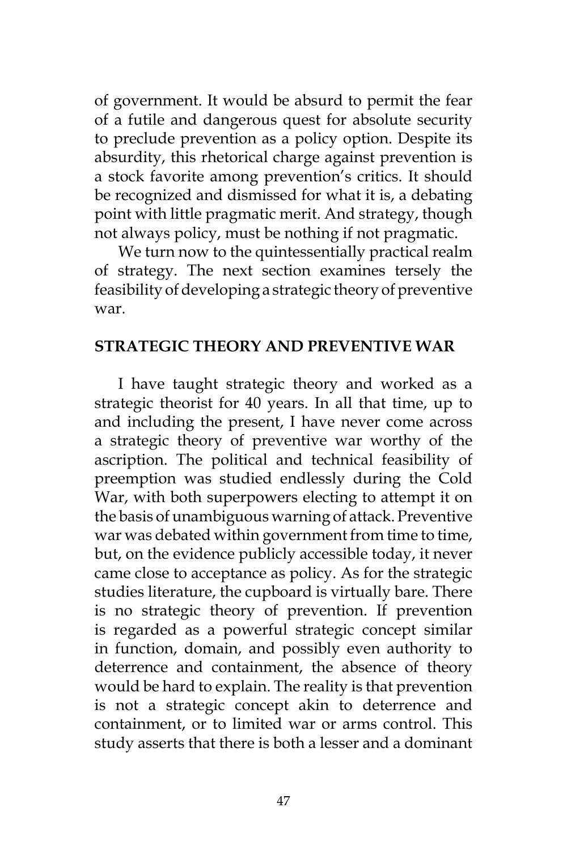of government. It would be absurd to permit the fear of a futile and dangerous quest for absolute security to preclude prevention as a policy option. Despite its absurdity, this rhetorical charge against prevention is a stock favorite among prevention's critics. It should be recognized and dismissed for what it is, a debating point with little pragmatic merit. And strategy, though not always policy, must be nothing if not pragmatic.

We turn now to the quintessentially practical realm of strategy. The next section examines tersely the feasibility of developing a strategic theory of preventive war.

# **STRATEGIC THEORY AND PREVENTIVE WAR**

I have taught strategic theory and worked as a strategic theorist for 40 years. In all that time, up to and including the present, I have never come across a strategic theory of preventive war worthy of the ascription. The political and technical feasibility of preemption was studied endlessly during the Cold War, with both superpowers electing to attempt it on the basis of unambiguous warning of attack. Preventive war was debated within government from time to time, but, on the evidence publicly accessible today, it never came close to acceptance as policy. As for the strategic studies literature, the cupboard is virtually bare. There is no strategic theory of prevention. If prevention is regarded as a powerful strategic concept similar in function, domain, and possibly even authority to deterrence and containment, the absence of theory would be hard to explain. The reality is that prevention is not a strategic concept akin to deterrence and containment, or to limited war or arms control. This study asserts that there is both a lesser and a dominant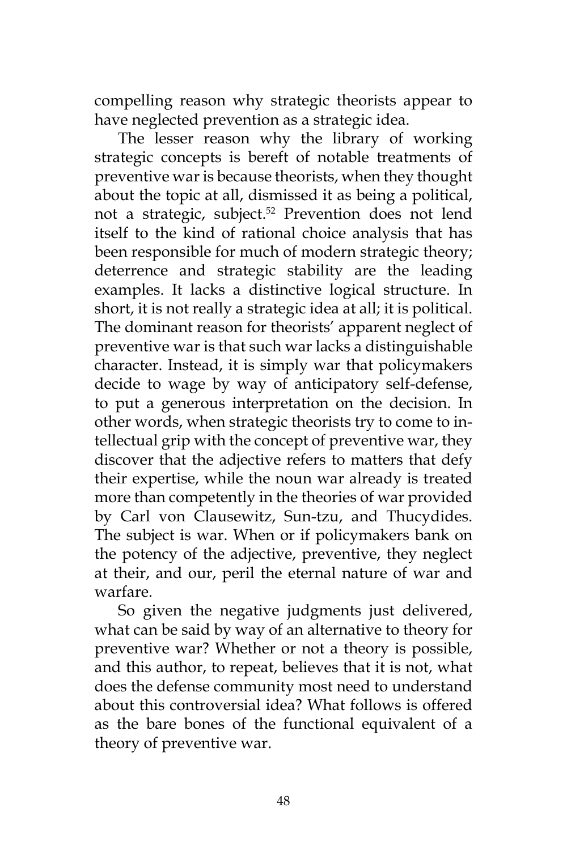compelling reason why strategic theorists appear to have neglected prevention as a strategic idea.

The lesser reason why the library of working strategic concepts is bereft of notable treatments of preventive war is because theorists, when they thought about the topic at all, dismissed it as being a political, not a strategic, subject.<sup>52</sup> Prevention does not lend itself to the kind of rational choice analysis that has been responsible for much of modern strategic theory; deterrence and strategic stability are the leading examples. It lacks a distinctive logical structure. In short, it is not really a strategic idea at all; it is political. The dominant reason for theorists' apparent neglect of preventive war is that such war lacks a distinguishable character. Instead, it is simply war that policymakers decide to wage by way of anticipatory self-defense, to put a generous interpretation on the decision. In other words, when strategic theorists try to come to intellectual grip with the concept of preventive war, they discover that the adjective refers to matters that defy their expertise, while the noun war already is treated more than competently in the theories of war provided by Carl von Clausewitz, Sun-tzu, and Thucydides. The subject is war. When or if policymakers bank on the potency of the adjective, preventive, they neglect at their, and our, peril the eternal nature of war and warfare.

So given the negative judgments just delivered, what can be said by way of an alternative to theory for preventive war? Whether or not a theory is possible, and this author, to repeat, believes that it is not, what does the defense community most need to understand about this controversial idea? What follows is offered as the bare bones of the functional equivalent of a theory of preventive war.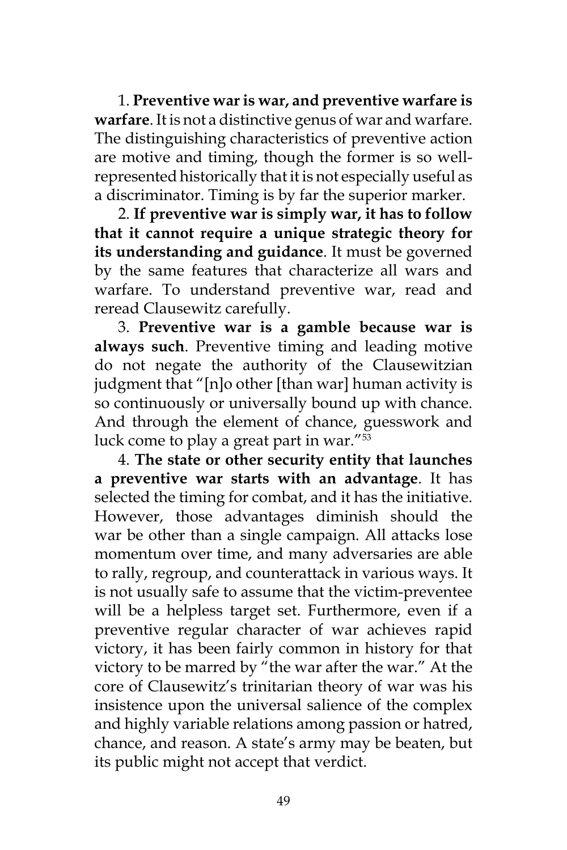1. **Preventive war is war, and preventive warfare is warfare**. It is not a distinctive genus of war and warfare. The distinguishing characteristics of preventive action are motive and timing, though the former is so wellrepresented historically that it is not especially useful as a discriminator. Timing is by far the superior marker.

2. **If preventive war is simply war, it has to follow that it cannot require a unique strategic theory for its understanding and guidance**. It must be governed by the same features that characterize all wars and warfare. To understand preventive war, read and reread Clausewitz carefully.

3. **Preventive war is a gamble because war is always such**. Preventive timing and leading motive do not negate the authority of the Clausewitzian judgment that "[n]o other [than war] human activity is so continuously or universally bound up with chance. And through the element of chance, guesswork and luck come to play a great part in war."<sup>53</sup>

4. **The state or other security entity that launches a preventive war starts with an advantage**. It has selected the timing for combat, and it has the initiative. However, those advantages diminish should the war be other than a single campaign. All attacks lose momentum over time, and many adversaries are able to rally, regroup, and counterattack in various ways. It is not usually safe to assume that the victim-preventee will be a helpless target set. Furthermore, even if a preventive regular character of war achieves rapid victory, it has been fairly common in history for that victory to be marred by "the war after the war." At the core of Clausewitz's trinitarian theory of war was his insistence upon the universal salience of the complex and highly variable relations among passion or hatred, chance, and reason. A state's army may be beaten, but its public might not accept that verdict.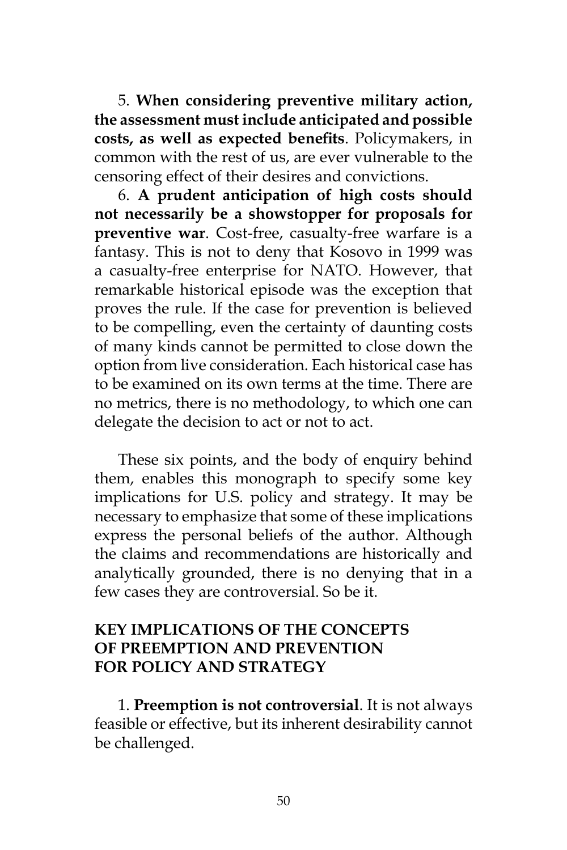5. **When considering preventive military action, the assessment must include anticipated and possible costs, as well as expected benefits**. Policymakers, in common with the rest of us, are ever vulnerable to the censoring effect of their desires and convictions.

6. **A prudent anticipation of high costs should not necessarily be a showstopper for proposals for preventive war**. Cost-free, casualty-free warfare is a fantasy. This is not to deny that Kosovo in 1999 was a casualty-free enterprise for NATO. However, that remarkable historical episode was the exception that proves the rule. If the case for prevention is believed to be compelling, even the certainty of daunting costs of many kinds cannot be permitted to close down the option from live consideration. Each historical case has to be examined on its own terms at the time. There are no metrics, there is no methodology, to which one can delegate the decision to act or not to act.

These six points, and the body of enquiry behind them, enables this monograph to specify some key implications for U.S. policy and strategy. It may be necessary to emphasize that some of these implications express the personal beliefs of the author. Although the claims and recommendations are historically and analytically grounded, there is no denying that in a few cases they are controversial. So be it.

# **KEY IMPLICATIONS OF THE CONCEPTS OF PREEMPTION AND PREVENTION FOR POLICY AND STRATEGY**

1. **Preemption is not controversial**. It is not always feasible or effective, but its inherent desirability cannot be challenged.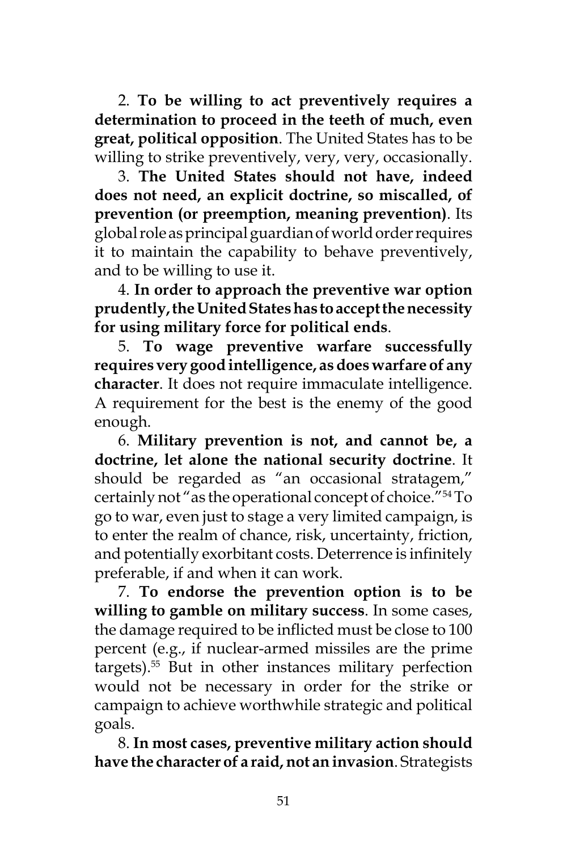2. **To be willing to act preventively requires a determination to proceed in the teeth of much, even great, political opposition**. The United States has to be willing to strike preventively, very, very, occasionally.

3. **The United States should not have, indeed does not need, an explicit doctrine, so miscalled, of prevention (or preemption, meaning prevention)**. Its global role as principal guardian of world order requires it to maintain the capability to behave preventively, and to be willing to use it.

4. **In order to approach the preventive war option prudently, the United States has to accept the necessity for using military force for political ends**.

5. **To wage preventive warfare successfully requires very good intelligence, as does warfare of any character**. It does not require immaculate intelligence. A requirement for the best is the enemy of the good enough.

6. **Military prevention is not, and cannot be, a doctrine, let alone the national security doctrine**. It should be regarded as "an occasional stratagem," certainly not "as the operational concept of choice."54 To go to war, even just to stage a very limited campaign, is to enter the realm of chance, risk, uncertainty, friction, and potentially exorbitant costs. Deterrence is infinitely preferable, if and when it can work.

7. **To endorse the prevention option is to be willing to gamble on military success**. In some cases, the damage required to be inflicted must be close to 100 percent (e.g., if nuclear-armed missiles are the prime targets).55 But in other instances military perfection would not be necessary in order for the strike or campaign to achieve worthwhile strategic and political goals.

8. **In most cases, preventive military action should have the character of a raid, not an invasion**. Strategists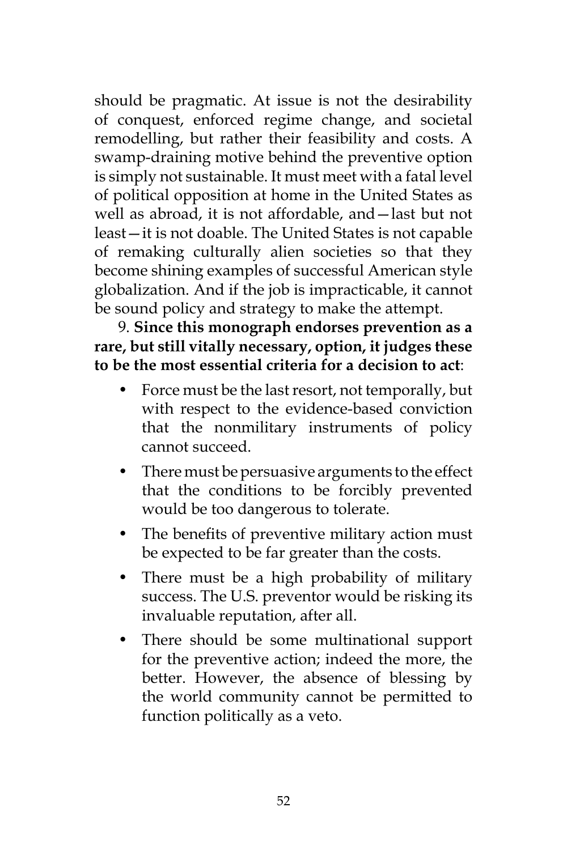should be pragmatic. At issue is not the desirability of conquest, enforced regime change, and societal remodelling, but rather their feasibility and costs. A swamp-draining motive behind the preventive option is simply not sustainable. It must meet with a fatal level of political opposition at home in the United States as well as abroad, it is not affordable, and—last but not least—it is not doable. The United States is not capable of remaking culturally alien societies so that they become shining examples of successful American style globalization. And if the job is impracticable, it cannot be sound policy and strategy to make the attempt.

9. **Since this monograph endorses prevention as a rare, but still vitally necessary, option, it judges these to be the most essential criteria for a decision to act**:

- Force must be the last resort, not temporally, but with respect to the evidence-based conviction that the nonmilitary instruments of policy cannot succeed.
- There must be persuasive arguments to the effect that the conditions to be forcibly prevented would be too dangerous to tolerate.
- The benefits of preventive military action must be expected to be far greater than the costs.
- There must be a high probability of military success. The U.S. preventor would be risking its invaluable reputation, after all.
- There should be some multinational support for the preventive action; indeed the more, the better. However, the absence of blessing by the world community cannot be permitted to function politically as a veto.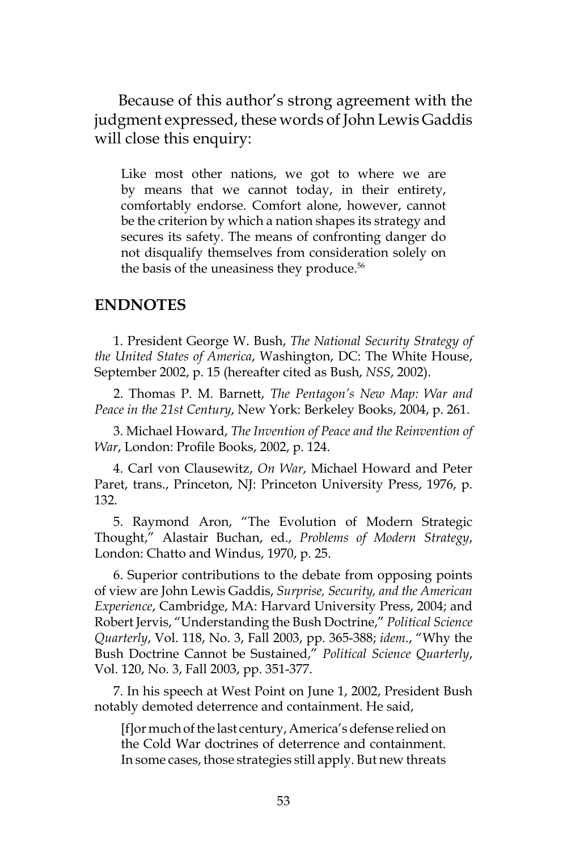Because of this author's strong agreement with the judgment expressed, these words of John Lewis Gaddis will close this enquiry:

Like most other nations, we got to where we are by means that we cannot today, in their entirety, comfortably endorse. Comfort alone, however, cannot be the criterion by which a nation shapes its strategy and secures its safety. The means of confronting danger do not disqualify themselves from consideration solely on the basis of the uneasiness they produce.<sup>56</sup>

#### **ENDNOTES**

1. President George W. Bush, *The National Security Strategy of the United States of America*, Washington, DC: The White House, September 2002, p. 15 (hereafter cited as Bush, *NSS*, 2002).

2. Thomas P. M. Barnett, *The Pentagon's New Map: War and Peace in the 21st Century*, New York: Berkeley Books, 2004, p. 261.

3. Michael Howard, *The Invention of Peace and the Reinvention of War*, London: Profile Books, 2002, p. 124.

4. Carl von Clausewitz, *On War*, Michael Howard and Peter Paret, trans., Princeton, NJ: Princeton University Press, 1976, p. 132.

5. Raymond Aron, "The Evolution of Modern Strategic Thought," Alastair Buchan, ed., *Problems of Modern Strategy*, London: Chatto and Windus, 1970, p. 25.

6. Superior contributions to the debate from opposing points of view are John Lewis Gaddis, *Surprise, Security, and the American Experience*, Cambridge, MA: Harvard University Press, 2004; and Robert Jervis, "Understanding the Bush Doctrine," *Political Science Quarterly*, Vol. 118, No. 3, Fall 2003, pp. 365-388; *idem*., "Why the Bush Doctrine Cannot be Sustained," *Political Science Quarterly*, Vol. 120, No. 3, Fall 2003, pp. 351-377.

7. In his speech at West Point on June 1, 2002, President Bush notably demoted deterrence and containment. He said,

[f]or much of the last century, America's defense relied on the Cold War doctrines of deterrence and containment. In some cases, those strategies still apply. But new threats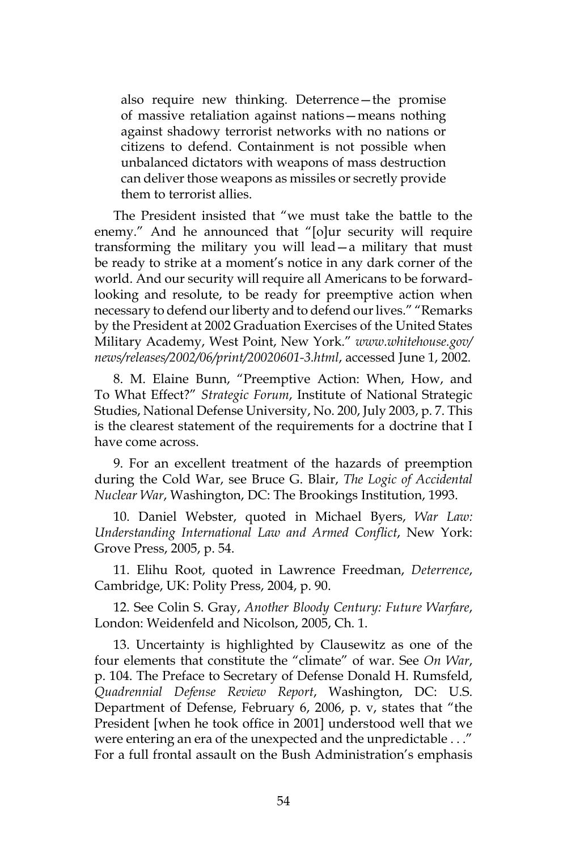also require new thinking. Deterrence—the promise of massive retaliation against nations—means nothing against shadowy terrorist networks with no nations or citizens to defend. Containment is not possible when unbalanced dictators with weapons of mass destruction can deliver those weapons as missiles or secretly provide them to terrorist allies.

The President insisted that "we must take the battle to the enemy." And he announced that "[o]ur security will require transforming the military you will lead—a military that must be ready to strike at a moment's notice in any dark corner of the world. And our security will require all Americans to be forwardlooking and resolute, to be ready for preemptive action when necessary to defend our liberty and to defend our lives." "Remarks by the President at 2002 Graduation Exercises of the United States Military Academy, West Point, New York." *www.whitehouse.gov/ news/releases/2002/06/print/20020601-3.html*, accessed June 1, 2002.

8. M. Elaine Bunn, "Preemptive Action: When, How, and To What Effect?" *Strategic Forum*, Institute of National Strategic Studies, National Defense University, No. 200, July 2003, p. 7. This is the clearest statement of the requirements for a doctrine that I have come across.

9. For an excellent treatment of the hazards of preemption during the Cold War, see Bruce G. Blair, *The Logic of Accidental Nuclear War*, Washington, DC: The Brookings Institution, 1993.

10. Daniel Webster, quoted in Michael Byers, *War Law: Understanding International Law and Armed Conflict*, New York: Grove Press, 2005, p. 54.

11. Elihu Root, quoted in Lawrence Freedman, *Deterrence*, Cambridge, UK: Polity Press, 2004, p. 90.

12. See Colin S. Gray, *Another Bloody Century: Future Warfare*, London: Weidenfeld and Nicolson, 2005, Ch. 1.

13. Uncertainty is highlighted by Clausewitz as one of the four elements that constitute the "climate" of war. See *On War*, p. 104. The Preface to Secretary of Defense Donald H. Rumsfeld, *Quadrennial Defense Review Report*, Washington, DC: U.S. Department of Defense, February 6, 2006, p. v, states that "the President [when he took office in 2001] understood well that we were entering an era of the unexpected and the unpredictable . . ." For a full frontal assault on the Bush Administration's emphasis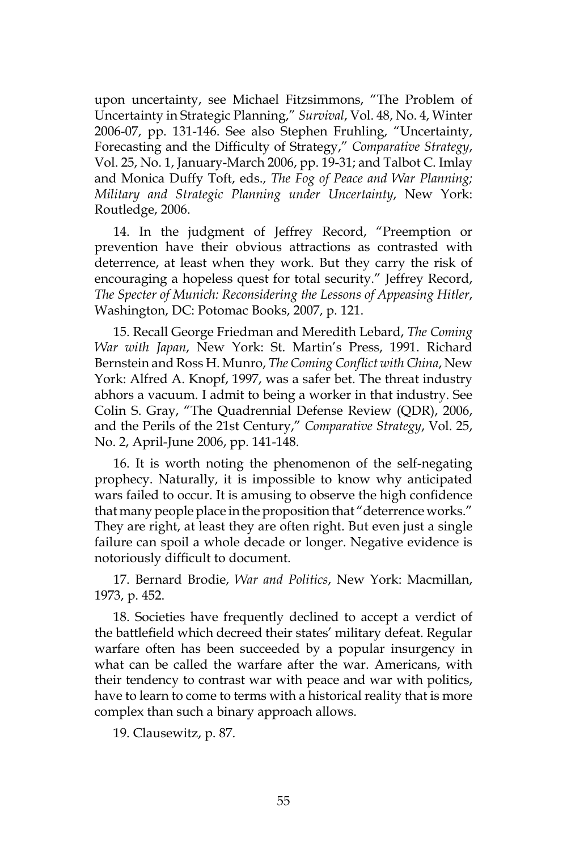upon uncertainty, see Michael Fitzsimmons, "The Problem of Uncertainty in Strategic Planning," *Survival*, Vol. 48, No. 4, Winter 2006-07, pp. 131-146. See also Stephen Fruhling, "Uncertainty, Forecasting and the Difficulty of Strategy," *Comparative Strategy*, Vol. 25, No. 1, January-March 2006, pp. 19-31; and Talbot C. Imlay and Monica Duffy Toft, eds., *The Fog of Peace and War Planning; Military and Strategic Planning under Uncertainty*, New York: Routledge, 2006.

14. In the judgment of Jeffrey Record, "Preemption or prevention have their obvious attractions as contrasted with deterrence, at least when they work. But they carry the risk of encouraging a hopeless quest for total security." Jeffrey Record, *The Specter of Munich: Reconsidering the Lessons of Appeasing Hitler*, Washington, DC: Potomac Books, 2007, p. 121.

15. Recall George Friedman and Meredith Lebard, *The Coming War with Japan*, New York: St. Martin's Press, 1991. Richard Bernstein and Ross H. Munro, *The Coming Conflict with China*, New York: Alfred A. Knopf, 1997, was a safer bet. The threat industry abhors a vacuum. I admit to being a worker in that industry. See Colin S. Gray, "The Quadrennial Defense Review (QDR), 2006, and the Perils of the 21st Century," *Comparative Strategy*, Vol. 25, No. 2, April-June 2006, pp. 141-148.

16. It is worth noting the phenomenon of the self-negating prophecy. Naturally, it is impossible to know why anticipated wars failed to occur. It is amusing to observe the high confidence that many people place in the proposition that "deterrence works." They are right, at least they are often right. But even just a single failure can spoil a whole decade or longer. Negative evidence is notoriously difficult to document.

17. Bernard Brodie, *War and Politics*, New York: Macmillan, 1973, p. 452.

18. Societies have frequently declined to accept a verdict of the battlefield which decreed their states' military defeat. Regular warfare often has been succeeded by a popular insurgency in what can be called the warfare after the war. Americans, with their tendency to contrast war with peace and war with politics, have to learn to come to terms with a historical reality that is more complex than such a binary approach allows.

19. Clausewitz, p. 87.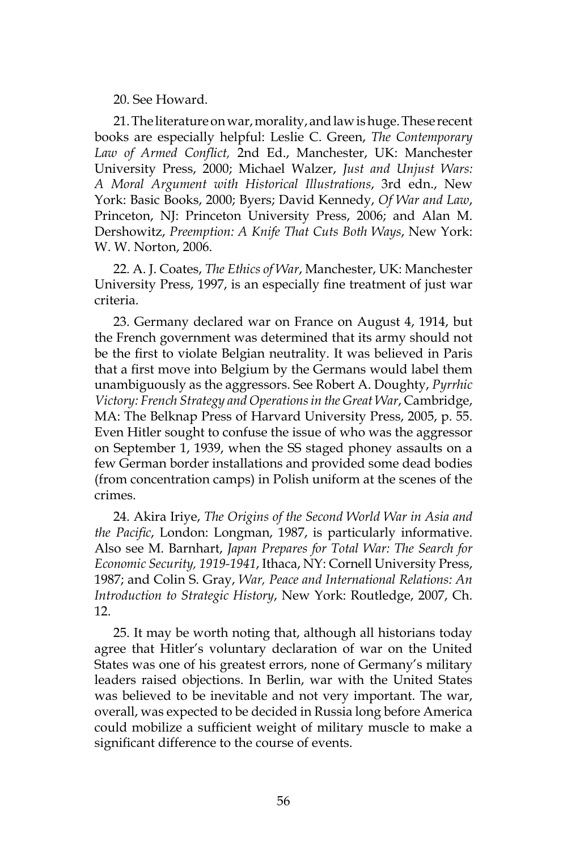20. See Howard.

21. The literature on war, morality, and law is huge. These recent books are especially helpful: Leslie C. Green, *The Contemporary Law of Armed Conflict,* 2nd Ed., Manchester, UK: Manchester University Press, 2000; Michael Walzer, *Just and Unjust Wars: A Moral Argument with Historical Illustrations*, 3rd edn., New York: Basic Books, 2000; Byers; David Kennedy, *Of War and Law*, Princeton, NJ: Princeton University Press, 2006; and Alan M. Dershowitz, *Preemption: A Knife That Cuts Both Ways*, New York: W. W. Norton, 2006.

22. A. J. Coates, *The Ethics of War*, Manchester, UK: Manchester University Press, 1997, is an especially fine treatment of just war criteria.

23. Germany declared war on France on August 4, 1914, but the French government was determined that its army should not be the first to violate Belgian neutrality. It was believed in Paris that a first move into Belgium by the Germans would label them unambiguously as the aggressors. See Robert A. Doughty, *Pyrrhic Victory: French Strategy and Operations in the Great War*, Cambridge, MA: The Belknap Press of Harvard University Press, 2005, p. 55. Even Hitler sought to confuse the issue of who was the aggressor on September 1, 1939, when the SS staged phoney assaults on a few German border installations and provided some dead bodies (from concentration camps) in Polish uniform at the scenes of the crimes.

24. Akira Iriye, *The Origins of the Second World War in Asia and the Pacific*, London: Longman, 1987, is particularly informative. Also see M. Barnhart, *Japan Prepares for Total War: The Search for Economic Security, 1919-1941*, Ithaca, NY: Cornell University Press, 1987; and Colin S. Gray, *War, Peace and International Relations: An Introduction to Strategic History*, New York: Routledge, 2007, Ch. 12.

25. It may be worth noting that, although all historians today agree that Hitler's voluntary declaration of war on the United States was one of his greatest errors, none of Germany's military leaders raised objections. In Berlin, war with the United States was believed to be inevitable and not very important. The war, overall, was expected to be decided in Russia long before America could mobilize a sufficient weight of military muscle to make a significant difference to the course of events.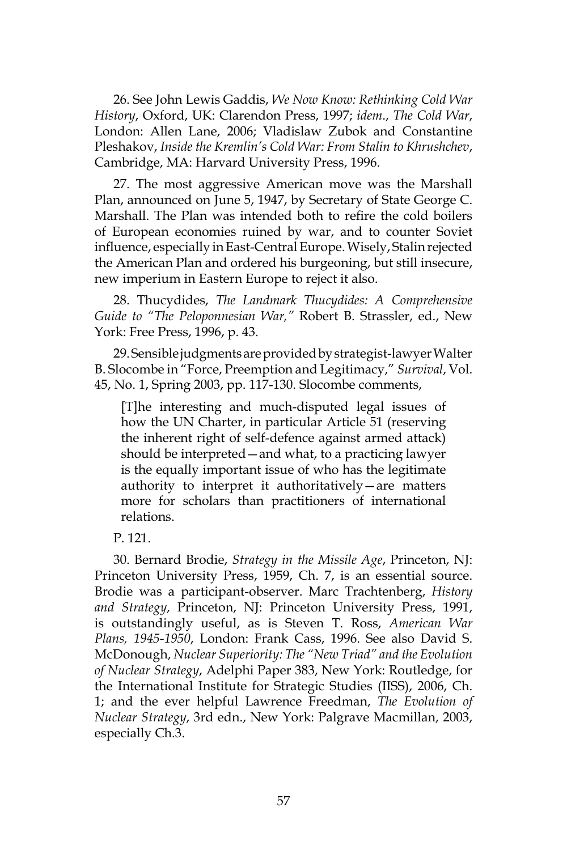26. See John Lewis Gaddis, *We Now Know: Rethinking Cold War History*, Oxford, UK: Clarendon Press, 1997; *idem*., *The Cold War*, London: Allen Lane, 2006; Vladislaw Zubok and Constantine Pleshakov, *Inside the Kremlin's Cold War: From Stalin to Khrushchev*, Cambridge, MA: Harvard University Press, 1996.

27. The most aggressive American move was the Marshall Plan, announced on June 5, 1947, by Secretary of State George C. Marshall. The Plan was intended both to refire the cold boilers of European economies ruined by war, and to counter Soviet influence, especially in East-Central Europe. Wisely, Stalin rejected the American Plan and ordered his burgeoning, but still insecure, new imperium in Eastern Europe to reject it also.

28. Thucydides, *The Landmark Thucydides: A Comprehensive Guide to "The Peloponnesian War,"* Robert B. Strassler, ed., New York: Free Press, 1996, p. 43.

29. Sensible judgments are provided by strategist-lawyer Walter B. Slocombe in "Force, Preemption and Legitimacy," *Survival*, Vol. 45, No. 1, Spring 2003, pp. 117-130. Slocombe comments,

[T]he interesting and much-disputed legal issues of how the UN Charter, in particular Article 51 (reserving the inherent right of self-defence against armed attack) should be interpreted—and what, to a practicing lawyer is the equally important issue of who has the legitimate authority to interpret it authoritatively—are matters more for scholars than practitioners of international relations.

P. 121.

30. Bernard Brodie, *Strategy in the Missile Age*, Princeton, NJ: Princeton University Press, 1959, Ch. 7, is an essential source. Brodie was a participant-observer. Marc Trachtenberg, *History and Strategy*, Princeton, NJ: Princeton University Press, 1991, is outstandingly useful, as is Steven T. Ross, *American War Plans, 1945-1950*, London: Frank Cass, 1996. See also David S. McDonough, *Nuclear Superiority: The "New Triad" and the Evolution of Nuclear Strategy*, Adelphi Paper 383, New York: Routledge, for the International Institute for Strategic Studies (IISS), 2006, Ch. 1; and the ever helpful Lawrence Freedman, *The Evolution of Nuclear Strategy*, 3rd edn., New York: Palgrave Macmillan, 2003, especially Ch.3.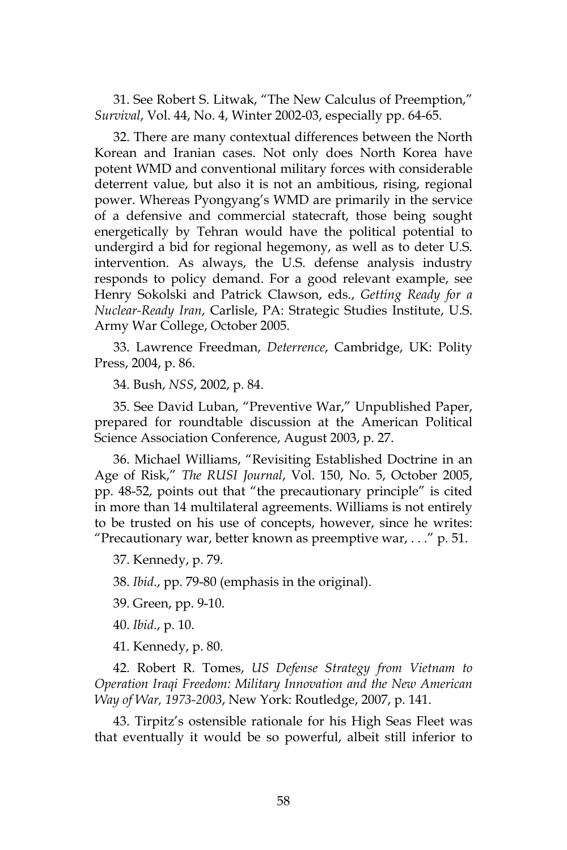31. See Robert S. Litwak, "The New Calculus of Preemption," *Survival*, Vol. 44, No. 4, Winter 2002-03, especially pp. 64-65.

32. There are many contextual differences between the North Korean and Iranian cases. Not only does North Korea have potent WMD and conventional military forces with considerable deterrent value, but also it is not an ambitious, rising, regional power. Whereas Pyongyang's WMD are primarily in the service of a defensive and commercial statecraft, those being sought energetically by Tehran would have the political potential to undergird a bid for regional hegemony, as well as to deter U.S. intervention. As always, the U.S. defense analysis industry responds to policy demand. For a good relevant example, see Henry Sokolski and Patrick Clawson, eds., *Getting Ready for a Nuclear-Ready Iran*, Carlisle, PA: Strategic Studies Institute, U.S. Army War College, October 2005.

33. Lawrence Freedman, *Deterrence*, Cambridge, UK: Polity Press, 2004, p. 86.

34. Bush, *NSS*, 2002, p. 84.

35. See David Luban, "Preventive War," Unpublished Paper, prepared for roundtable discussion at the American Political Science Association Conference, August 2003, p. 27.

36. Michael Williams, "Revisiting Established Doctrine in an Age of Risk," *The RUSI Journal*, Vol. 150, No. 5, October 2005, pp. 48-52, points out that "the precautionary principle" is cited in more than 14 multilateral agreements. Williams is not entirely to be trusted on his use of concepts, however, since he writes: "Precautionary war, better known as preemptive war,  $\dots$ " p. 51.

37. Kennedy, p. 79.

38. *Ibid*., pp. 79-80 (emphasis in the original).

39. Green, pp. 9-10.

40. *Ibid*., p. 10.

41. Kennedy, p. 80.

42. Robert R. Tomes, *US Defense Strategy from Vietnam to Operation Iraqi Freedom: Military Innovation and the New American Way of War, 1973-2003*, New York: Routledge, 2007, p. 141.

43. Tirpitz's ostensible rationale for his High Seas Fleet was that eventually it would be so powerful, albeit still inferior to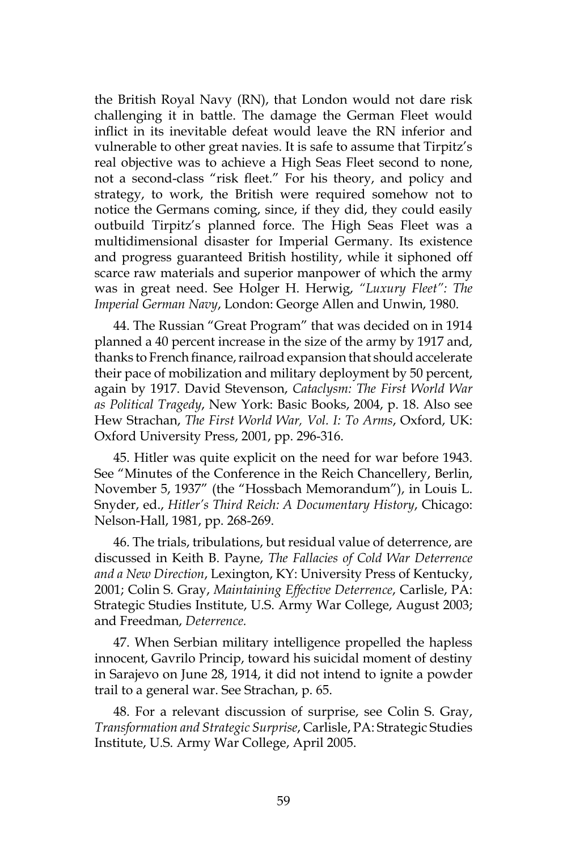the British Royal Navy (RN), that London would not dare risk challenging it in battle. The damage the German Fleet would inflict in its inevitable defeat would leave the RN inferior and vulnerable to other great navies. It is safe to assume that Tirpitz's real objective was to achieve a High Seas Fleet second to none, not a second-class "risk fleet." For his theory, and policy and strategy, to work, the British were required somehow not to notice the Germans coming, since, if they did, they could easily outbuild Tirpitz's planned force. The High Seas Fleet was a multidimensional disaster for Imperial Germany. Its existence and progress guaranteed British hostility, while it siphoned off scarce raw materials and superior manpower of which the army was in great need. See Holger H. Herwig, *"Luxury Fleet": The Imperial German Navy*, London: George Allen and Unwin, 1980.

44. The Russian "Great Program" that was decided on in 1914 planned a 40 percent increase in the size of the army by 1917 and, thanks to French finance, railroad expansion that should accelerate their pace of mobilization and military deployment by 50 percent, again by 1917. David Stevenson, *Cataclysm: The First World War as Political Tragedy*, New York: Basic Books, 2004, p. 18. Also see Hew Strachan, *The First World War, Vol. I: To Arms*, Oxford, UK: Oxford University Press, 2001, pp. 296-316.

45. Hitler was quite explicit on the need for war before 1943. See "Minutes of the Conference in the Reich Chancellery, Berlin, November 5, 1937" (the "Hossbach Memorandum"), in Louis L. Snyder, ed., *Hitler's Third Reich: A Documentary History*, Chicago: Nelson-Hall, 1981, pp. 268-269.

46. The trials, tribulations, but residual value of deterrence, are discussed in Keith B. Payne, *The Fallacies of Cold War Deterrence and a New Direction*, Lexington, KY: University Press of Kentucky, 2001; Colin S. Gray, *Maintaining Effective Deterrence*, Carlisle, PA: Strategic Studies Institute, U.S. Army War College, August 2003; and Freedman, *Deterrence.*

47. When Serbian military intelligence propelled the hapless innocent, Gavrilo Princip, toward his suicidal moment of destiny in Sarajevo on June 28, 1914, it did not intend to ignite a powder trail to a general war. See Strachan, p. 65.

48. For a relevant discussion of surprise, see Colin S. Gray, *Transformation and Strategic Surprise*, Carlisle, PA: Strategic Studies Institute, U.S. Army War College, April 2005.